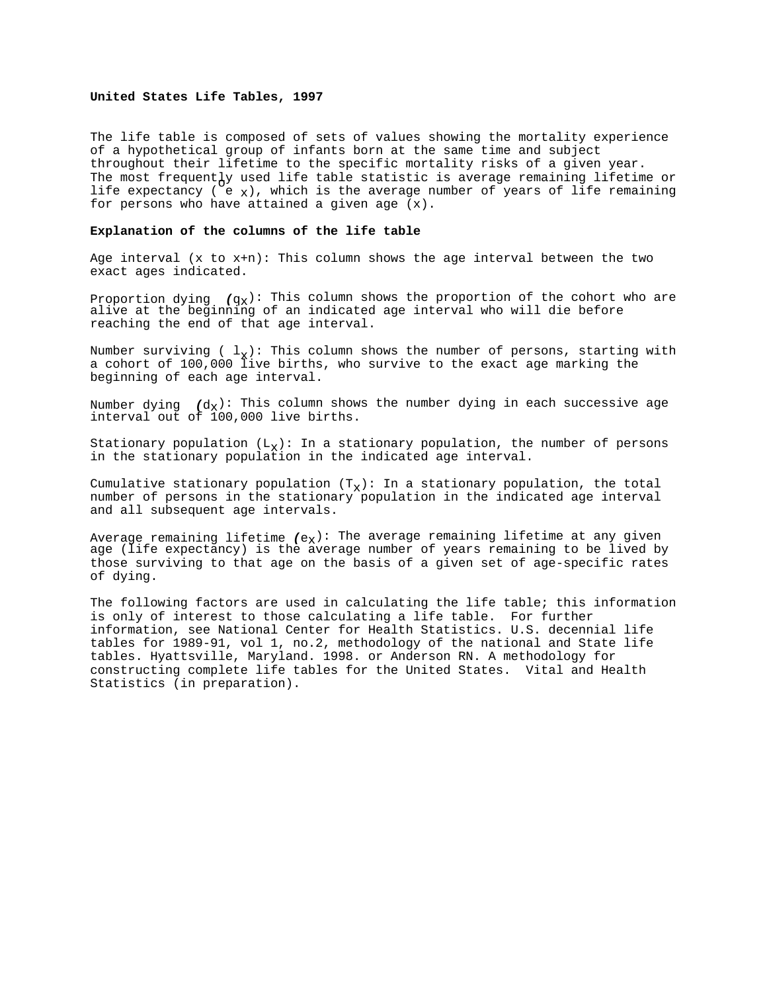### **United States Life Tables, 1997**

The life table is composed of sets of values showing the mortality experience of a hypothetical group of infants born at the same time and subject throughout their lifetime to the specific mortality risks of a given year. The most frequently used life table statistic is average remaining lifetime or life expectancy ( $e_x$ ), which is the average number of years of life remaining for persons who have attained a given age (x).

### **Explanation of the columns of the life table**

Age interval  $(x \text{ to } x+n)$ : This column shows the age interval between the two exact ages indicated.

Proportion dying  $(q_x)$ : This column shows the proportion of the cohort who are alive at the beginning of an indicated age interval who will die before reaching the end of that age interval.

Number surviving (  $l_x$ ): This column shows the number of persons, starting with a cohort of 100,000 live births, who survive to the exact age marking the beginning of each age interval.

Number dying  $(d_X)$ : This column shows the number dying in each successive age interval out of 100,000 live births.

Stationary population  $(L_x)$ : In a stationary population, the number of persons in the stationary population in the indicated age interval.

Cumulative stationary population  $(T<sub>x</sub>)$ : In a stationary population, the total number of persons in the stationary population in the indicated age interval and all subsequent age intervals.

Average remaining lifetime  $(e_X)$ : The average remaining lifetime at any given age (life expectancy) is the average number of years remaining to be lived by those surviving to that age on the basis of a given set of age-specific rates of dying.

The following factors are used in calculating the life table; this information is only of interest to those calculating a life table. For further information, see National Center for Health Statistics. U.S. decennial life tables for 1989-91, vol 1, no.2, methodology of the national and State life tables. Hyattsville, Maryland. 1998. or Anderson RN. A methodology for constructing complete life tables for the United States. Vital and Health Statistics (in preparation).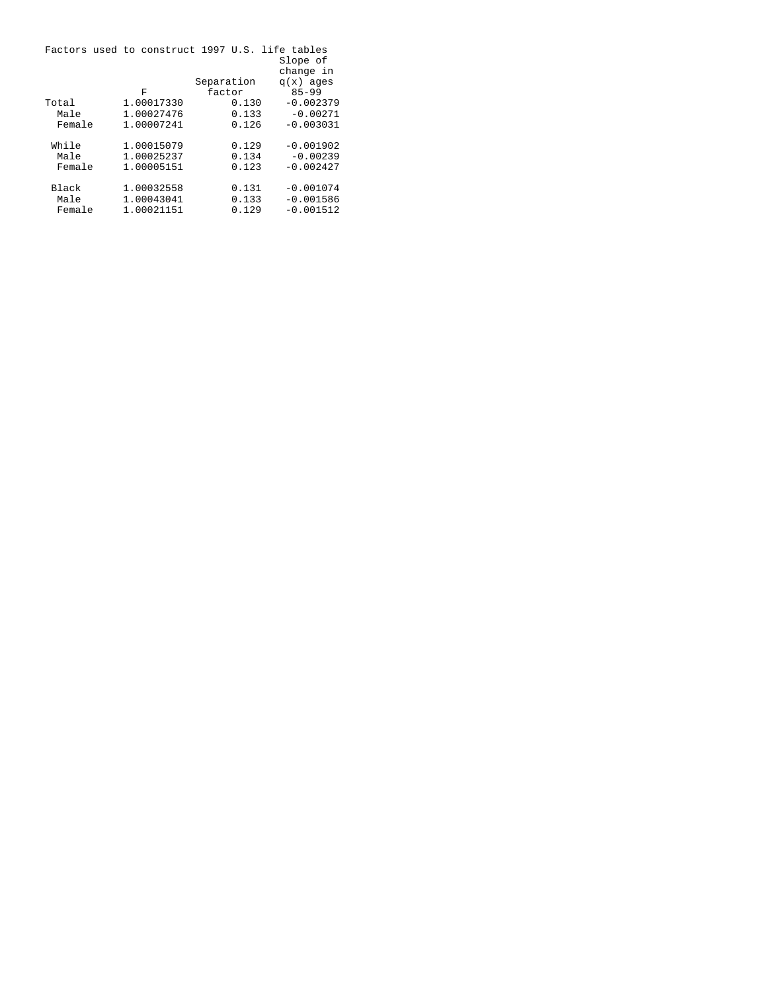|        | Factors used to construct 1997 U.S. life tables |            |             |
|--------|-------------------------------------------------|------------|-------------|
|        |                                                 |            | Slope of    |
|        |                                                 |            | change in   |
|        |                                                 | Separation | $q(x)$ ages |
|        | F                                               | factor     | $85 - 99$   |
| Total  | 1.00017330                                      | 0.130      | $-0.002379$ |
| Male   | 1.00027476                                      | 0.133      | $-0.00271$  |
| Female | 1.00007241                                      | 0.126      | $-0.003031$ |
|        |                                                 |            |             |
| While  | 1.00015079                                      | 0.129      | $-0.001902$ |
| Male   | 1.00025237                                      | 0.134      | $-0.00239$  |
| Female | 1.00005151                                      | 0.123      | $-0.002427$ |
|        |                                                 |            |             |
| Black  | 1.00032558                                      | 0.131      | $-0.001074$ |
| Male   | 1.00043041                                      | 0.133      | $-0.001586$ |
| Female | 1.00021151                                      | 0.129      | $-0.001512$ |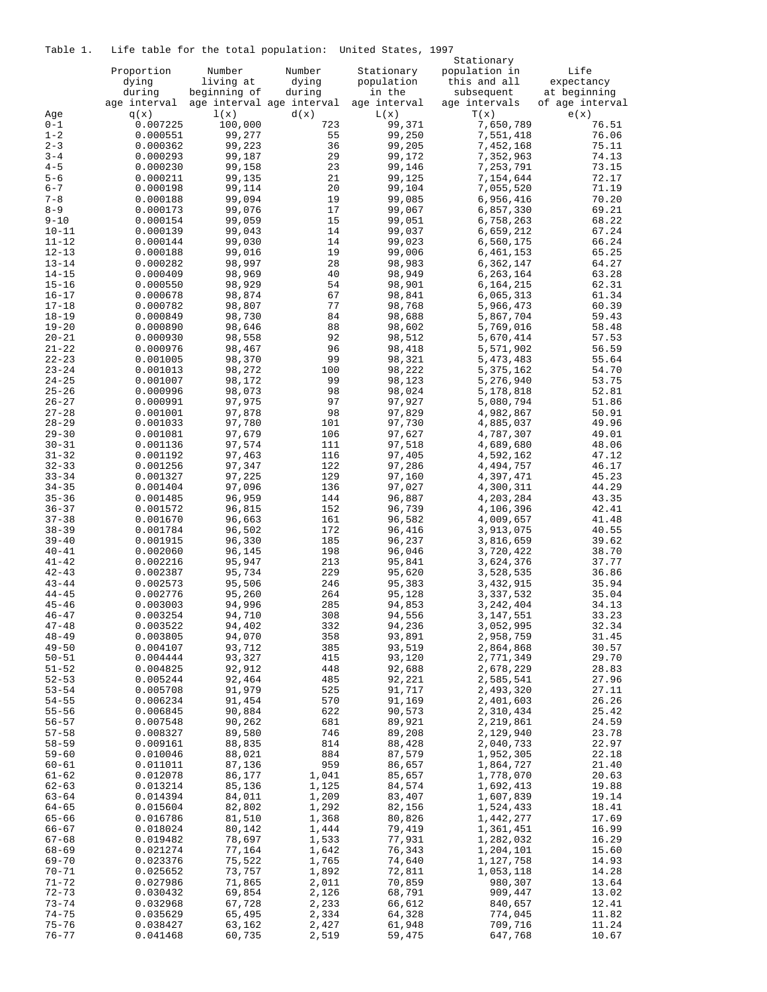Table 1. Life table for the total population: United States, 1997

|                        |                      | cabic for the cocal population. | Stationary                        |                      |                        |                         |
|------------------------|----------------------|---------------------------------|-----------------------------------|----------------------|------------------------|-------------------------|
|                        | Proportion           | Number                          | Number                            | Stationary           | population in          | Life                    |
|                        | dying                | living at                       | dying                             | population           | this and all           | expectancy              |
|                        | during               | beginning of                    | during                            | in the               | subsequent             | at beginning            |
| Age                    | age interval<br>q(x) | 1(x)                            | age interval age interval<br>d(x) | age interval<br>L(x) | age intervals<br>T(x)  | of age interval<br>e(x) |
| $0 - 1$                | 0.007225             | 100,000                         | 723                               | 99,371               | 7,650,789              | 76.51                   |
| $1 - 2$                | 0.000551             | 99,277                          | 55                                | 99,250               | 7,551,418              | 76.06                   |
| $2 - 3$                | 0.000362             | 99,223                          | 36                                | 99,205               | 7,452,168              | 75.11                   |
| $3 - 4$                | 0.000293             | 99,187                          | 29                                | 99,172               | 7,352,963              | 74.13                   |
| $4 - 5$                | 0.000230             | 99,158                          | 23                                | 99,146               | 7,253,791              | 73.15                   |
| $5 - 6$<br>$6 - 7$     | 0.000211             | 99,135<br>99,114                | 21<br>20                          | 99,125<br>99,104     | 7,154,644<br>7,055,520 | 72.17<br>71.19          |
| $7 - 8$                | 0.000198<br>0.000188 | 99,094                          | 19                                | 99,085               | 6,956,416              | 70.20                   |
| $8 - 9$                | 0.000173             | 99,076                          | 17                                | 99,067               | 6,857,330              | 69.21                   |
| $9 - 10$               | 0.000154             | 99,059                          | 15                                | 99,051               | 6,758,263              | 68.22                   |
| $10 - 11$              | 0.000139             | 99,043                          | 14                                | 99,037               | 6,659,212              | 67.24                   |
| $11 - 12$              | 0.000144             | 99,030                          | 14                                | 99,023               | 6,560,175              | 66.24                   |
| $12 - 13$              | 0.000188             | 99,016                          | 19                                | 99,006               | 6,461,153              | 65.25                   |
| $13 - 14$              | 0.000282             | 98,997                          | 28                                | 98,983               | 6,362,147              | 64.27                   |
| $14 - 15$<br>$15 - 16$ | 0.000409<br>0.000550 | 98,969<br>98,929                | 40<br>54                          | 98,949<br>98,901     | 6,263,164<br>6,164,215 | 63.28<br>62.31          |
| $16 - 17$              | 0.000678             | 98,874                          | 67                                | 98,841               | 6,065,313              | 61.34                   |
| $17 - 18$              | 0.000782             | 98,807                          | 77                                | 98,768               | 5,966,473              | 60.39                   |
| 18-19                  | 0.000849             | 98,730                          | 84                                | 98,688               | 5,867,704              | 59.43                   |
| $19 - 20$              | 0.000890             | 98,646                          | 88                                | 98,602               | 5,769,016              | 58.48                   |
| $20 - 21$              | 0.000930             | 98,558                          | 92                                | 98,512               | 5,670,414              | 57.53                   |
| $21 - 22$              | 0.000976             | 98,467                          | 96                                | 98,418               | 5,571,902              | 56.59                   |
| $22 - 23$              | 0.001005             | 98,370                          | 99                                | 98,321               | 5,473,483              | 55.64                   |
| $23 - 24$<br>$24 - 25$ | 0.001013<br>0.001007 | 98,272<br>98,172                | 100<br>99                         | 98,222<br>98,123     | 5,375,162<br>5,276,940 | 54.70<br>53.75          |
| $25 - 26$              | 0.000996             | 98,073                          | 98                                | 98,024               | 5,178,818              | 52.81                   |
| $26 - 27$              | 0.000991             | 97,975                          | 97                                | 97,927               | 5,080,794              | 51.86                   |
| $27 - 28$              | 0.001001             | 97,878                          | 98                                | 97,829               | 4,982,867              | 50.91                   |
| $28 - 29$              | 0.001033             | 97,780                          | 101                               | 97,730               | 4,885,037              | 49.96                   |
| $29 - 30$              | 0.001081             | 97,679                          | 106                               | 97,627               | 4,787,307              | 49.01                   |
| $30 - 31$              | 0.001136             | 97,574                          | 111                               | 97,518               | 4,689,680              | 48.06                   |
| $31 - 32$<br>$32 - 33$ | 0.001192<br>0.001256 | 97,463<br>97,347                | 116<br>122                        | 97,405<br>97,286     | 4,592,162<br>4,494,757 | 47.12<br>46.17          |
| $33 - 34$              | 0.001327             | 97,225                          | 129                               | 97,160               | 4,397,471              | 45.23                   |
| $34 - 35$              | 0.001404             | 97,096                          | 136                               | 97,027               | 4,300,311              | 44.29                   |
| $35 - 36$              | 0.001485             | 96,959                          | 144                               | 96,887               | 4,203,284              | 43.35                   |
| $36 - 37$              | 0.001572             | 96,815                          | 152                               | 96,739               | 4,106,396              | 42.41                   |
| $37 - 38$              | 0.001670             | 96,663                          | 161                               | 96,582               | 4,009,657              | 41.48                   |
| $38 - 39$              | 0.001784             | 96,502                          | 172                               | 96,416               | 3,913,075              | 40.55                   |
| $39 - 40$<br>$40 - 41$ | 0.001915<br>0.002060 | 96,330<br>96,145                | 185<br>198                        | 96,237<br>96,046     | 3,816,659<br>3,720,422 | 39.62<br>38.70          |
| $41 - 42$              | 0.002216             | 95,947                          | 213                               | 95,841               | 3,624,376              | 37.77                   |
| $42 - 43$              | 0.002387             | 95,734                          | 229                               | 95,620               | 3,528,535              | 36.86                   |
| $43 - 44$              | 0.002573             | 95,506                          | 246                               | 95,383               | 3,432,915              | 35.94                   |
| $44 - 45$              | 0.002776             | 95,260                          | 264                               | 95,128               | 3,337,532              | 35.04                   |
| $45 - 46$              | 0.003003             | 94,996                          | 285                               | 94,853               | 3, 242, 404            | 34.13                   |
| $46 - 47$              | 0.003254             | 94,710                          | 308                               | 94,556               | 3,147,551              | 33.23                   |
| $47 - 48$<br>$48 - 49$ | 0.003522             | 94,402                          | 332                               | 94,236               | 3,052,995              | 32.34                   |
| $49 - 50$              | 0.003805<br>0.004107 | 94,070<br>93,712                | 358<br>385                        | 93,891<br>93,519     | 2,958,759<br>2,864,868 | 31.45<br>30.57          |
| $50 - 51$              | 0.004444             | 93,327                          | 415                               | 93,120               | 2,771,349              | 29.70                   |
| $51 - 52$              | 0.004825             | 92,912                          | 448                               | 92,688               | 2,678,229              | 28.83                   |
| $52 - 53$              | 0.005244             | 92,464                          | 485                               | 92,221               | 2,585,541              | 27.96                   |
| $53 - 54$              | 0.005708             | 91,979                          | 525                               | 91,717               | 2,493,320              | 27.11                   |
| $54 - 55$              | 0.006234             | 91,454                          | 570                               | 91,169               | 2,401,603              | 26.26                   |
| $55 - 56$              | 0.006845             | 90,884                          | 622                               | 90,573               | 2,310,434              | 25.42                   |
| $56 - 57$<br>$57 - 58$ | 0.007548<br>0.008327 | 90,262<br>89,580                | 681<br>746                        | 89,921<br>89,208     | 2,219,861<br>2,129,940 | 24.59<br>23.78          |
| $58 - 59$              | 0.009161             | 88,835                          | 814                               | 88,428               | 2,040,733              | 22.97                   |
| $59 - 60$              | 0.010046             | 88,021                          | 884                               | 87,579               | 1,952,305              | 22.18                   |
| 60-61                  | 0.011011             | 87,136                          | 959                               | 86,657               | 1,864,727              | 21.40                   |
| $61 - 62$              | 0.012078             | 86,177                          | 1,041                             | 85,657               | 1,778,070              | 20.63                   |
| $62 - 63$              | 0.013214             | 85,136                          | 1,125                             | 84,574               | 1,692,413              | 19.88                   |
| $63 - 64$              | 0.014394             | 84,011                          | 1,209                             | 83,407               | 1,607,839              | 19.14                   |
| 64-65                  | 0.015604             | 82,802                          | 1,292                             | 82,156               | 1,524,433              | 18.41                   |
| 65-66<br>66-67         | 0.016786<br>0.018024 | 81,510<br>80,142                | 1,368<br>1,444                    | 80,826<br>79,419     | 1,442,277<br>1,361,451 | 17.69<br>16.99          |
| $67 - 68$              | 0.019482             | 78,697                          | 1,533                             | 77,931               | 1,282,032              | 16.29                   |
| 68-69                  | 0.021274             | 77,164                          | 1,642                             | 76,343               | 1,204,101              | 15.60                   |
| 69-70                  | 0.023376             | 75,522                          | 1,765                             | 74,640               | 1,127,758              | 14.93                   |
| 70-71                  | 0.025652             | 73,757                          | 1,892                             | 72,811               | 1,053,118              | 14.28                   |
| 71-72                  | 0.027986             | 71,865                          | 2,011                             | 70,859               | 980,307                | 13.64                   |
| $72 - 73$              | 0.030432             | 69,854                          | 2,126                             | 68,791               | 909,447                | 13.02                   |
| $73 - 74$              | 0.032968             | 67,728                          | 2,233                             | 66,612               | 840,657                | 12.41                   |
| 74-75<br>$75 - 76$     | 0.035629<br>0.038427 | 65,495<br>63,162                | 2,334<br>2,427                    | 64,328<br>61,948     | 774,045<br>709,716     | 11.82<br>11.24          |
| $76 - 77$              | 0.041468             | 60,735                          | 2,519                             | 59,475               | 647,768                | 10.67                   |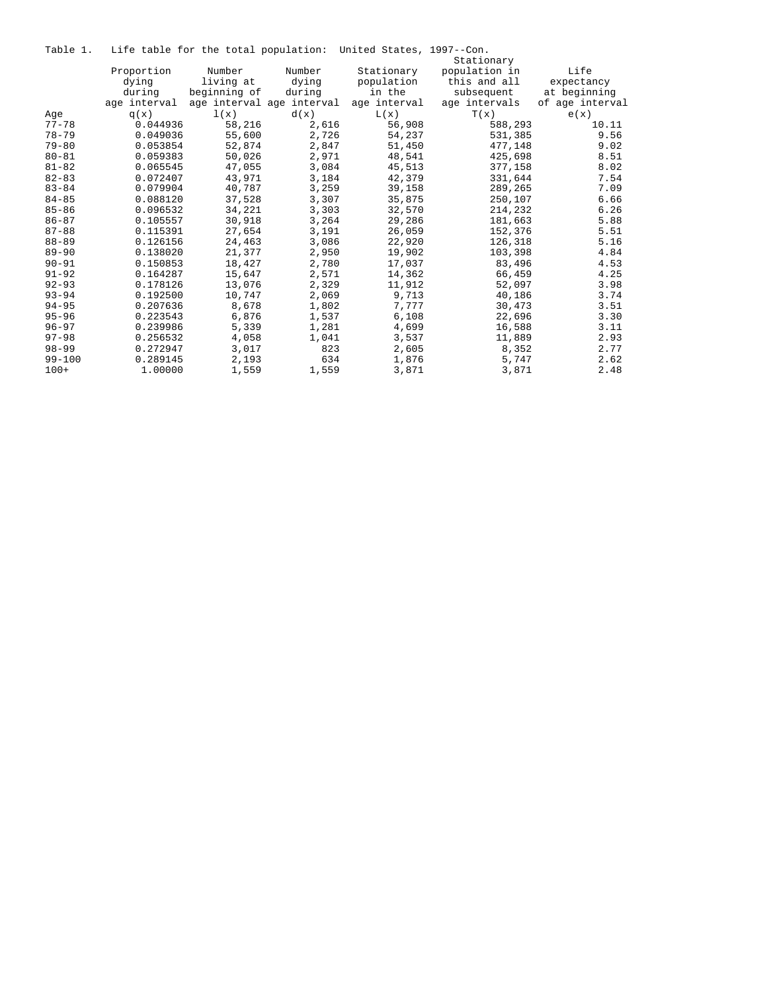|  |  |  |  |  |  | Table 1. Life table for the total population: United States, 1997--Con. |  |  |  |
|--|--|--|--|--|--|-------------------------------------------------------------------------|--|--|--|
|--|--|--|--|--|--|-------------------------------------------------------------------------|--|--|--|

| tante t.   |              |              |                           | The capic for the cocal population. Onfeca beaces, 1997, Con. |               |                 |
|------------|--------------|--------------|---------------------------|---------------------------------------------------------------|---------------|-----------------|
|            |              |              |                           |                                                               | Stationary    |                 |
|            | Proportion   | Number       | Number                    | Stationary                                                    | population in | Life            |
|            | dying        | living at    | dying                     | population                                                    | this and all  | expectancy      |
|            | during       | beginning of | during                    | in the                                                        | subsequent    | at beginning    |
|            | age interval |              | age interval age interval | age interval                                                  | age intervals | of age interval |
| Age        | q(x)         | 1(x)         | d(x)                      | L(x)                                                          | T(x)          | e(x)            |
| $77 - 78$  | 0.044936     | 58,216       | 2,616                     | 56,908                                                        | 588,293       | 10.11           |
| $78 - 79$  | 0.049036     | 55,600       | 2,726                     | 54,237                                                        | 531,385       | 9.56            |
| $79 - 80$  | 0.053854     | 52,874       | 2,847                     | 51,450                                                        | 477,148       | 9.02            |
| $80 - 81$  | 0.059383     | 50,026       | 2,971                     | 48,541                                                        | 425,698       | 8.51            |
| $81 - 82$  | 0.065545     | 47,055       | 3,084                     | 45,513                                                        | 377,158       | 8.02            |
| $82 - 83$  | 0.072407     | 43,971       | 3,184                     | 42,379                                                        | 331,644       | 7.54            |
| $83 - 84$  | 0.079904     | 40,787       | 3,259                     | 39,158                                                        | 289,265       | 7.09            |
| $84 - 85$  | 0.088120     | 37,528       | 3,307                     | 35,875                                                        | 250,107       | 6.66            |
| $85 - 86$  | 0.096532     | 34,221       | 3,303                     | 32,570                                                        | 214,232       | 6.26            |
| $86 - 87$  | 0.105557     | 30,918       | 3,264                     | 29,286                                                        | 181,663       | 5.88            |
| $87 - 88$  | 0.115391     | 27,654       | 3,191                     | 26,059                                                        | 152,376       | 5.51            |
| $88 - 89$  | 0.126156     | 24,463       | 3,086                     | 22,920                                                        | 126,318       | 5.16            |
| $89 - 90$  | 0.138020     | 21,377       | 2,950                     | 19,902                                                        | 103,398       | 4.84            |
| $90 - 91$  | 0.150853     | 18,427       | 2,780                     | 17,037                                                        | 83,496        | 4.53            |
| $91 - 92$  | 0.164287     | 15,647       | 2,571                     | 14,362                                                        | 66,459        | 4.25            |
| $92 - 93$  | 0.178126     | 13,076       | 2,329                     | 11,912                                                        | 52,097        | 3.98            |
| $93 - 94$  | 0.192500     | 10,747       | 2,069                     | 9,713                                                         | 40,186        | 3.74            |
| $94 - 95$  | 0.207636     | 8,678        | 1,802                     | 7.777                                                         | 30,473        | 3.51            |
| $95 - 96$  | 0.223543     | 6,876        | 1,537                     | 6,108                                                         | 22,696        | 3.30            |
| $96 - 97$  | 0.239986     | 5,339        | 1,281                     | 4,699                                                         | 16,588        | 3.11            |
| $97 - 98$  | 0.256532     | 4,058        | 1,041                     | 3,537                                                         | 11,889        | 2.93            |
| $98 - 99$  | 0.272947     | 3,017        | 823                       | 2,605                                                         | 8,352         | 2.77            |
| $99 - 100$ | 0.289145     | 2,193        | 634                       | 1,876                                                         | 5,747         | 2.62            |
| $100+$     | 1,00000      | 1,559        | 1,559                     | 3,871                                                         | 3,871         | 2.48            |
|            |              |              |                           |                                                               |               |                 |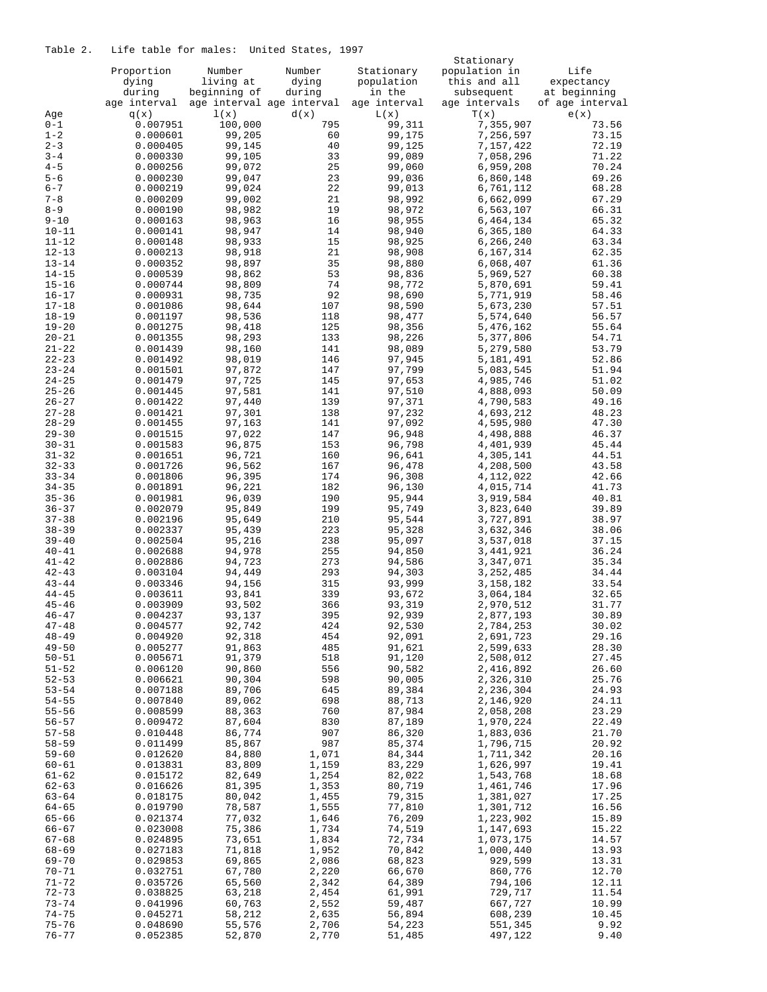# Table 2. Life table for males: United States, 1997

|                        |                      |                  |                           |                  | Stationary             |                 |
|------------------------|----------------------|------------------|---------------------------|------------------|------------------------|-----------------|
|                        | Proportion           | Number           | Number                    | Stationary       | population in          | Life            |
|                        | dying                | living at        | dying                     | population       | this and all           | expectancy      |
|                        | during               | beginning of     | during                    | in the           | subsequent             | at beginning    |
|                        | age interval         |                  | age interval age interval | age interval     | age intervals          | of age interval |
| Age                    | q(x)                 | 1(x)             | d(x)                      | L(x)             | T(x)                   | e(x)            |
| $0 - 1$                | 0.007951             | 100,000          | 795                       | 99,311           | 7,355,907              | 73.56           |
| $1 - 2$                | 0.000601             | 99,205           | 60                        | 99,175           | 7,256,597              | 73.15           |
| $2 - 3$                | 0.000405             | 99,145           | 40                        | 99,125           | 7,157,422              | 72.19           |
| $3 - 4$                | 0.000330             | 99,105           | 33                        | 99,089           | 7,058,296              | 71.22           |
| $4 - 5$                | 0.000256             | 99,072           | 25                        | 99,060           | 6,959,208              | 70.24           |
| $5 - 6$                | 0.000230             | 99,047<br>99,024 | 23                        | 99,036           | 6,860,148              | 69.26           |
| $6 - 7$<br>$7 - 8$     | 0.000219             | 99,002           | 22<br>21                  | 99,013<br>98,992 | 6,761,112              | 68.28<br>67.29  |
| $8 - 9$                | 0.000209<br>0.000190 | 98,982           | 19                        | 98,972           | 6,662,099<br>6,563,107 | 66.31           |
| $9 - 10$               | 0.000163             | 98,963           | 16                        | 98,955           | 6,464,134              | 65.32           |
| $10 - 11$              | 0.000141             | 98,947           | 14                        | 98,940           | 6,365,180              | 64.33           |
| $11 - 12$              | 0.000148             | 98,933           | 15                        | 98,925           | 6,266,240              | 63.34           |
| $12 - 13$              | 0.000213             | 98,918           | 21                        | 98,908           | 6,167,314              | 62.35           |
| $13 - 14$              | 0.000352             | 98,897           | 35                        | 98,880           | 6,068,407              | 61.36           |
| $14 - 15$              | 0.000539             | 98,862           | 53                        | 98,836           | 5,969,527              | 60.38           |
| $15 - 16$              | 0.000744             | 98,809           | 74                        | 98,772           | 5,870,691              | 59.41           |
| $16 - 17$              | 0.000931             | 98,735           | 92                        | 98,690           | 5,771,919              | 58.46           |
| $17 - 18$              | 0.001086             | 98,644           | 107                       | 98,590           | 5,673,230              | 57.51           |
| $18 - 19$              | 0.001197             | 98,536           | 118                       | 98,477           | 5,574,640              | 56.57           |
| $19 - 20$              | 0.001275             | 98,418           | 125                       | 98,356           | 5,476,162              | 55.64           |
| $20 - 21$              | 0.001355             | 98,293           | 133                       | 98,226           | 5,377,806              | 54.71           |
| $21 - 22$              | 0.001439             | 98,160           | 141                       | 98,089           | 5,279,580              | 53.79           |
| $22 - 23$              | 0.001492             | 98,019           | 146                       | 97,945           | 5,181,491              | 52.86           |
| $23 - 24$              | 0.001501             | 97,872           | 147                       | 97,799           | 5,083,545              | 51.94           |
| $24 - 25$              | 0.001479             | 97,725           | 145                       | 97,653           | 4,985,746              | 51.02           |
| $25 - 26$              | 0.001445             | 97,581           | 141                       | 97,510           | 4,888,093              | 50.09           |
| $26 - 27$              | 0.001422             | 97,440           | 139                       | 97,371           | 4,790,583              | 49.16           |
| $27 - 28$              | 0.001421             | 97,301           | 138                       | 97,232           | 4,693,212              | 48.23           |
| $28 - 29$              | 0.001455             | 97,163           | 141                       | 97,092           | 4,595,980              | 47.30           |
| $29 - 30$              | 0.001515             | 97,022           | 147                       | 96,948           | 4,498,888              | 46.37           |
| $30 - 31$              | 0.001583             | 96,875           | 153                       | 96,798           | 4,401,939              | 45.44           |
| $31 - 32$              | 0.001651             | 96,721           | 160                       | 96,641           | 4,305,141              | 44.51           |
| $32 - 33$              | 0.001726             | 96,562           | 167                       | 96,478           | 4,208,500              | 43.58           |
| $33 - 34$              | 0.001806             | 96,395           | 174                       | 96,308           | 4,112,022              | 42.66           |
| $34 - 35$              | 0.001891             | 96,221           | 182                       | 96,130           | 4,015,714              | 41.73           |
| $35 - 36$<br>$36 - 37$ | 0.001981             | 96,039<br>95,849 | 190<br>199                | 95,944<br>95,749 | 3,919,584<br>3,823,640 | 40.81<br>39.89  |
| $37 - 38$              | 0.002079<br>0.002196 | 95,649           | 210                       | 95,544           | 3,727,891              | 38.97           |
| $38 - 39$              | 0.002337             | 95,439           | 223                       | 95,328           | 3,632,346              | 38.06           |
| $39 - 40$              | 0.002504             | 95,216           | 238                       | 95,097           | 3,537,018              | 37.15           |
| $40 - 41$              | 0.002688             | 94,978           | 255                       | 94,850           | 3,441,921              | 36.24           |
| $41 - 42$              | 0.002886             | 94,723           | 273                       | 94,586           | 3,347,071              | 35.34           |
| $42 - 43$              | 0.003104             | 94,449           | 293                       | 94,303           | 3, 252, 485            | 34.44           |
| $43 - 44$              | 0.003346             | 94,156           | 315                       | 93,999           | 3,158,182              | 33.54           |
| $44 - 45$              | 0.003611             | 93,841           | 339                       | 93,672           | 3,064,184              | 32.65           |
| $45 - 46$              | 0.003909             | 93,502           | 366                       | 93,319           | 2,970,512              | 31.77           |
| $46 - 47$              | 0.004237             | 93,137           | 395                       | 92,939           | 2,877,193              | 30.89           |
| $47 - 48$              | 0.004577             | 92,742           | 424                       | 92,530           | 2,784,253              | 30.02           |
| $48 - 49$              | 0.004920             | 92,318           | 454                       | 92,091           | 2,691,723              | 29.16           |
| $49 - 50$              | 0.005277             | 91,863           | 485                       | 91,621           | 2,599,633              | 28.30           |
| $50 - 51$              | 0.005671             | 91,379           | 518                       | 91,120           | 2,508,012              | 27.45           |
| $51 - 52$              | 0.006120             | 90,860           | 556                       | 90,582           | 2,416,892              | 26.60           |
| $52 - 53$              | 0.006621             | 90,304           | 598                       | 90,005           | 2,326,310              | 25.76           |
| $53 - 54$              | 0.007188             | 89,706           | 645                       | 89,384           | 2,236,304              | 24.93           |
| $54 - 55$              | 0.007840             | 89,062           | 698                       | 88,713           | 2,146,920              | 24.11           |
| $55 - 56$<br>$56 - 57$ | 0.008599             | 88,363<br>87,604 | 760                       | 87,984<br>87,189 | 2,058,208              | 23.29           |
| $57 - 58$              | 0.009472<br>0.010448 | 86,774           | 830<br>907                |                  | 1,970,224              | 22.49<br>21.70  |
| $58 - 59$              | 0.011499             | 85,867           | 987                       | 86,320<br>85,374 | 1,883,036<br>1,796,715 | 20.92           |
| $59 - 60$              | 0.012620             | 84,880           | 1,071                     | 84,344           | 1,711,342              | 20.16           |
| $60 - 61$              | 0.013831             | 83,809           | 1,159                     | 83,229           | 1,626,997              | 19.41           |
| $61 - 62$              | 0.015172             | 82,649           | 1,254                     | 82,022           | 1,543,768              | 18.68           |
| $62 - 63$              | 0.016626             | 81,395           | 1,353                     | 80,719           | 1,461,746              | 17.96           |
| $63 - 64$              | 0.018175             | 80,042           | 1,455                     | 79,315           | 1,381,027              | 17.25           |
| $64 - 65$              | 0.019790             | 78,587           | 1,555                     | 77,810           | 1,301,712              | 16.56           |
| $65 - 66$              | 0.021374             | 77,032           | 1,646                     | 76,209           | 1,223,902              | 15.89           |
| $66 - 67$              | 0.023008             | 75,386           | 1,734                     | 74,519           | 1,147,693              | 15.22           |
| $67 - 68$              | 0.024895             | 73,651           | 1,834                     | 72,734           | 1,073,175              | 14.57           |
| $68 - 69$              | 0.027183             | 71,818           | 1,952                     | 70,842           | 1,000,440              | 13.93           |
| $69 - 70$              | 0.029853             | 69,865           | 2,086                     | 68,823           | 929,599                | 13.31           |
| $70 - 71$              | 0.032751             | 67,780           | 2,220                     | 66,670           | 860,776                | 12.70           |
| $71 - 72$              | 0.035726             | 65,560           | 2,342                     | 64,389           | 794,106                | 12.11           |
| $72 - 73$              | 0.038825             | 63,218           | 2,454                     | 61,991           | 729,717                | 11.54           |
| $73 - 74$              | 0.041996             | 60,763           | 2,552                     | 59,487           | 667,727                | 10.99           |
| $74 - 75$              | 0.045271             | 58,212           | 2,635                     | 56,894           | 608,239                | 10.45           |
| $75 - 76$              | 0.048690             | 55,576           | 2,706                     | 54,223           | 551,345                | 9.92            |
| $76 - 77$              | 0.052385             | 52,870           | 2,770                     | 51,485           | 497,122                | 9.40            |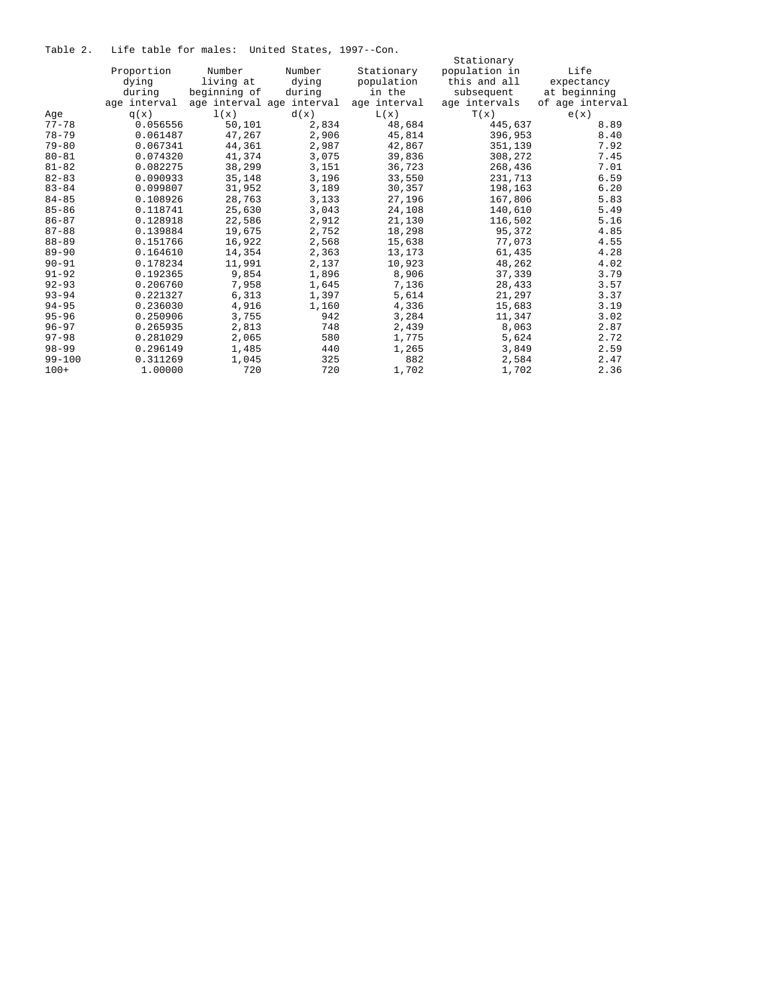Table 2. Life table for males: United States, 1997--Con.

|            |              |              |                           |              | Stationary    |                 |
|------------|--------------|--------------|---------------------------|--------------|---------------|-----------------|
|            | Proportion   | Number       | Number                    | Stationary   | population in | Life            |
|            | dying        | living at    | dying                     | population   | this and all  | expectancy      |
|            | during       | beginning of | during                    | in the       | subsequent    | at beginning    |
|            | age interval |              | age interval age interval | age interval | age intervals | of age interval |
| Age        | q(x)         | 1(x)         | d(x)                      | L(x)         | T(x)          | e(x)            |
| $77 - 78$  | 0.056556     | 50,101       | 2,834                     | 48,684       | 445,637       | 8.89            |
| $78 - 79$  | 0.061487     | 47,267       | 2,906                     | 45,814       | 396,953       | 8.40            |
| $79 - 80$  | 0.067341     | 44,361       | 2,987                     | 42,867       | 351,139       | 7.92            |
| $80 - 81$  | 0.074320     | 41,374       | 3,075                     | 39,836       | 308,272       | 7.45            |
| $81 - 82$  | 0.082275     | 38,299       | 3,151                     | 36,723       | 268,436       | 7.01            |
| $82 - 83$  | 0.090933     | 35,148       | 3,196                     | 33,550       | 231,713       | 6.59            |
| $83 - 84$  | 0.099807     | 31,952       | 3,189                     | 30,357       | 198,163       | 6.20            |
| $84 - 85$  | 0.108926     | 28,763       | 3,133                     | 27,196       | 167,806       | 5.83            |
| $85 - 86$  | 0.118741     | 25,630       | 3,043                     | 24,108       | 140,610       | 5.49            |
| $86 - 87$  | 0.128918     | 22,586       | 2,912                     | 21,130       | 116,502       | 5.16            |
| $87 - 88$  | 0.139884     | 19,675       | 2,752                     | 18,298       | 95,372        | 4.85            |
| $88 - 89$  | 0.151766     | 16,922       | 2,568                     | 15,638       | 77,073        | 4.55            |
| $89 - 90$  | 0.164610     | 14,354       | 2,363                     | 13,173       | 61,435        | 4.28            |
| $90 - 91$  | 0.178234     | 11,991       | 2,137                     | 10,923       | 48,262        | 4.02            |
| $91 - 92$  | 0.192365     | 9,854        | 1,896                     | 8,906        | 37,339        | 3.79            |
| $92 - 93$  | 0.206760     | 7,958        | 1,645                     | 7,136        | 28,433        | 3.57            |
| $93 - 94$  | 0.221327     | 6,313        | 1,397                     | 5,614        | 21,297        | 3.37            |
| $94 - 95$  | 0.236030     | 4,916        | 1,160                     | 4,336        | 15,683        | 3.19            |
| $95 - 96$  | 0.250906     | 3,755        | 942                       | 3,284        | 11,347        | 3.02            |
| $96 - 97$  | 0.265935     | 2,813        | 748                       | 2,439        | 8,063         | 2.87            |
| $97 - 98$  | 0.281029     | 2,065        | 580                       | 1,775        | 5,624         | 2.72            |
| $98 - 99$  | 0.296149     | 1,485        | 440                       | 1,265        | 3,849         | 2.59            |
| $99 - 100$ | 0.311269     | 1,045        | 325                       | 882          | 2,584         | 2.47            |
| $100+$     | 1,00000      | 720          | 720                       | 1,702        | 1,702         | 2.36            |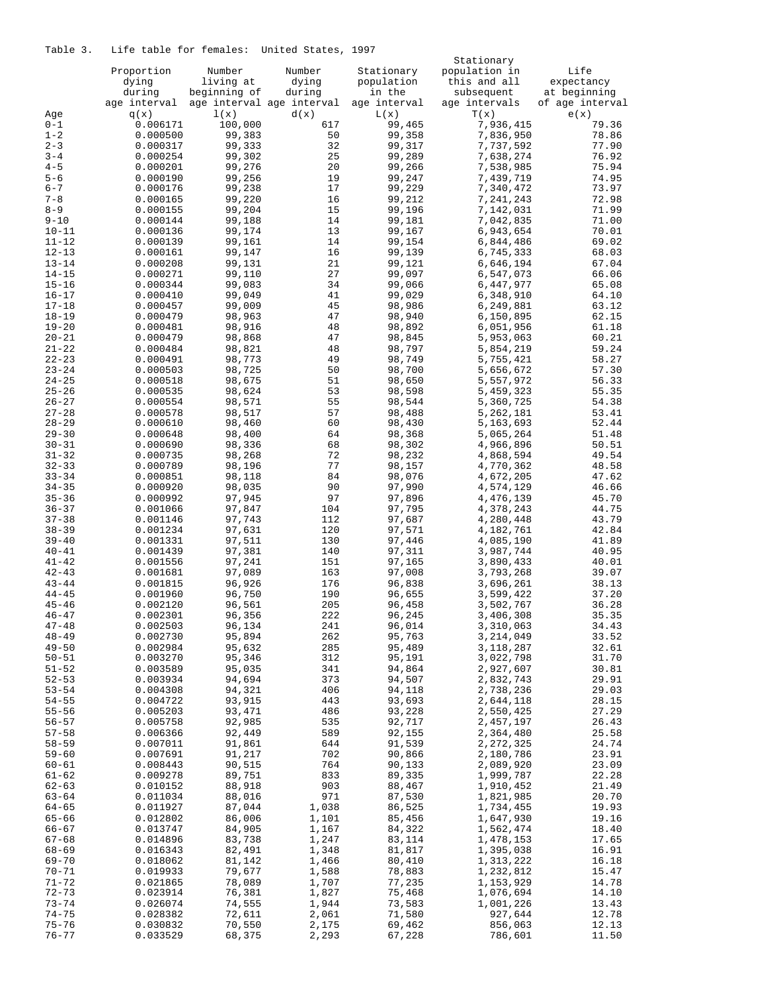# Table 3. Life table for females: United States, 1997

|           |              |              |                           |              | Stationary    |                 |
|-----------|--------------|--------------|---------------------------|--------------|---------------|-----------------|
|           | Proportion   | Number       | Number                    | Stationary   | population in | Life            |
|           | dying        | living at    | dying                     | population   | this and all  | expectancy      |
|           | during       | beginning of | during                    | in the       | subsequent    | at beginning    |
|           | age interval |              | age interval age interval | age interval | age intervals | of age interval |
|           |              |              |                           |              |               |                 |
| Age       | q(x)         | 1(x)         | d(x)                      | L(x)         | T(x)          | e(x)            |
| $0 - 1$   | 0.006171     | 100,000      | 617                       | 99,465       | 7,936,415     | 79.36           |
| $1 - 2$   | 0.000500     | 99,383       | 50                        | 99,358       | 7,836,950     | 78.86           |
| $2 - 3$   | 0.000317     | 99,333       | 32                        | 99,317       | 7,737,592     | 77.90           |
| $3 - 4$   | 0.000254     | 99,302       | 25                        | 99,289       | 7,638,274     | 76.92           |
| $4 - 5$   | 0.000201     | 99,276       | 20                        | 99,266       | 7,538,985     | 75.94           |
| $5 - 6$   | 0.000190     | 99,256       | 19                        | 99,247       | 7,439,719     | 74.95           |
|           |              |              |                           |              |               |                 |
| $6 - 7$   | 0.000176     | 99,238       | 17                        | 99,229       | 7,340,472     | 73.97           |
| $7 - 8$   | 0.000165     | 99,220       | 16                        | 99,212       | 7,241,243     | 72.98           |
| $8 - 9$   | 0.000155     | 99,204       | 15                        | 99,196       | 7,142,031     | 71.99           |
| $9 - 10$  | 0.000144     | 99,188       | 14                        | 99,181       | 7,042,835     | 71.00           |
| $10 - 11$ | 0.000136     | 99,174       | 13                        | 99,167       | 6,943,654     | 70.01           |
| $11 - 12$ | 0.000139     | 99,161       | 14                        | 99,154       | 6,844,486     | 69.02           |
|           |              | 99,147       |                           |              |               |                 |
| $12 - 13$ | 0.000161     |              | 16                        | 99,139       | 6,745,333     | 68.03           |
| $13 - 14$ | 0.000208     | 99,131       | 21                        | 99,121       | 6,646,194     | 67.04           |
| $14 - 15$ | 0.000271     | 99,110       | 27                        | 99,097       | 6,547,073     | 66.06           |
| $15 - 16$ | 0.000344     | 99,083       | 34                        | 99,066       | 6,447,977     | 65.08           |
| $16 - 17$ | 0.000410     | 99,049       | 41                        | 99,029       | 6,348,910     | 64.10           |
| $17 - 18$ | 0.000457     | 99,009       | 45                        | 98,986       | 6,249,881     | 63.12           |
| $18 - 19$ | 0.000479     | 98,963       | 47                        | 98,940       | 6,150,895     | 62.15           |
| $19 - 20$ | 0.000481     | 98,916       | 48                        | 98,892       | 6,051,956     | 61.18           |
|           |              |              |                           |              |               |                 |
| $20 - 21$ | 0.000479     | 98,868       | 47                        | 98,845       | 5,953,063     | 60.21           |
| $21 - 22$ | 0.000484     | 98,821       | 48                        | 98,797       | 5,854,219     | 59.24           |
| $22 - 23$ | 0.000491     | 98,773       | 49                        | 98,749       | 5,755,421     | 58.27           |
| $23 - 24$ | 0.000503     | 98,725       | 50                        | 98,700       | 5,656,672     | 57.30           |
| $24 - 25$ | 0.000518     | 98,675       | 51                        | 98,650       | 5,557,972     | 56.33           |
| $25 - 26$ | 0.000535     | 98,624       | 53                        | 98,598       | 5,459,323     | 55.35           |
| $26 - 27$ | 0.000554     | 98,571       | 55                        | 98,544       | 5,360,725     | 54.38           |
|           |              |              |                           |              |               |                 |
| $27 - 28$ | 0.000578     | 98,517       | 57                        | 98,488       | 5,262,181     | 53.41           |
| $28 - 29$ | 0.000610     | 98,460       | 60                        | 98,430       | 5,163,693     | 52.44           |
| $29 - 30$ | 0.000648     | 98,400       | 64                        | 98,368       | 5,065,264     | 51.48           |
| $30 - 31$ | 0.000690     | 98,336       | 68                        | 98,302       | 4,966,896     | 50.51           |
| $31 - 32$ | 0.000735     | 98,268       | 72                        | 98,232       | 4,868,594     | 49.54           |
| $32 - 33$ | 0.000789     | 98,196       | 77                        | 98,157       | 4,770,362     | 48.58           |
| $33 - 34$ | 0.000851     | 98,118       | 84                        | 98,076       | 4,672,205     | 47.62           |
|           |              |              | 90                        |              |               |                 |
| $34 - 35$ | 0.000920     | 98,035       |                           | 97,990       | 4,574,129     | 46.66           |
| $35 - 36$ | 0.000992     | 97,945       | 97                        | 97,896       | 4,476,139     | 45.70           |
| $36 - 37$ | 0.001066     | 97,847       | 104                       | 97,795       | 4,378,243     | 44.75           |
| $37 - 38$ | 0.001146     | 97,743       | 112                       | 97,687       | 4,280,448     | 43.79           |
| $38 - 39$ | 0.001234     | 97,631       | 120                       | 97,571       | 4,182,761     | 42.84           |
| $39 - 40$ | 0.001331     | 97,511       | 130                       | 97,446       | 4,085,190     | 41.89           |
| $40 - 41$ | 0.001439     | 97,381       | 140                       | 97,311       | 3,987,744     | 40.95           |
| $41 - 42$ | 0.001556     | 97,241       | 151                       | 97,165       | 3,890,433     | 40.01           |
| $42 - 43$ |              | 97,089       |                           |              | 3,793,268     |                 |
|           | 0.001681     |              | 163                       | 97,008       |               | 39.07           |
| $43 - 44$ | 0.001815     | 96,926       | 176                       | 96,838       | 3,696,261     | 38.13           |
| $44 - 45$ | 0.001960     | 96,750       | 190                       | 96,655       | 3,599,422     | 37.20           |
| $45 - 46$ | 0.002120     | 96,561       | 205                       | 96,458       | 3,502,767     | 36.28           |
| $46 - 47$ | 0.002301     | 96,356       | 222                       | 96,245       | 3,406,308     | 35.35           |
| $47 - 48$ | 0.002503     | 96,134       | 241                       | 96,014       | 3,310,063     | 34.43           |
| $48 - 49$ | 0.002730     | 95,894       | 262                       | 95,763       | 3,214,049     | 33.52           |
| $49 - 50$ | 0.002984     | 95,632       | 285                       | 95,489       | 3,118,287     | 32.61           |
|           |              |              |                           |              |               |                 |
| $50 - 51$ | 0.003270     | 95,346       | 312                       | 95,191       | 3,022,798     | 31.70           |
| $51 - 52$ | 0.003589     | 95,035       | 341                       | 94,864       | 2,927,607     | 30.81           |
| $52 - 53$ | 0.003934     | 94,694       | 373                       | 94,507       | 2,832,743     | 29.91           |
| $53 - 54$ | 0.004308     | 94,321       | 406                       | 94,118       | 2,738,236     | 29.03           |
| $54 - 55$ | 0.004722     | 93,915       | 443                       | 93,693       | 2,644,118     | 28.15           |
| $55 - 56$ | 0.005203     | 93,471       | 486                       | 93,228       | 2,550,425     | 27.29           |
| $56 - 57$ | 0.005758     | 92,985       | 535                       | 92,717       | 2,457,197     | 26.43           |
| $57 - 58$ | 0.006366     | 92,449       | 589                       | 92,155       | 2,364,480     | 25.58           |
|           |              |              |                           |              |               |                 |
| $58 - 59$ | 0.007011     | 91,861       | 644                       | 91,539       | 2,272,325     | 24.74           |
| $59 - 60$ | 0.007691     | 91,217       | 702                       | 90,866       | 2,180,786     | 23.91           |
| $60 - 61$ | 0.008443     | 90,515       | 764                       | 90,133       | 2,089,920     | 23.09           |
| $61 - 62$ | 0.009278     | 89,751       | 833                       | 89,335       | 1,999,787     | 22.28           |
| $62 - 63$ | 0.010152     | 88,918       | 903                       | 88,467       | 1,910,452     | 21.49           |
| $63 - 64$ | 0.011034     | 88,016       | 971                       | 87,530       | 1,821,985     | 20.70           |
| $64 - 65$ | 0.011927     | 87,044       | 1,038                     | 86,525       | 1,734,455     | 19.93           |
| $65 - 66$ |              | 86,006       | 1,101                     | 85,456       | 1,647,930     |                 |
|           | 0.012802     |              |                           |              |               | 19.16           |
| $66 - 67$ | 0.013747     | 84,905       | 1,167                     | 84,322       | 1,562,474     | 18.40           |
| $67 - 68$ | 0.014896     | 83,738       | 1,247                     | 83,114       | 1,478,153     | 17.65           |
| 68-69     | 0.016343     | 82,491       | 1,348                     | 81,817       | 1,395,038     | 16.91           |
| $69 - 70$ | 0.018062     | 81,142       | 1,466                     | 80,410       | 1,313,222     | 16.18           |
| $70 - 71$ | 0.019933     | 79,677       | 1,588                     | 78,883       | 1,232,812     | 15.47           |
| 71-72     | 0.021865     | 78,089       | 1,707                     | 77,235       | 1,153,929     | 14.78           |
| $72 - 73$ | 0.023914     | 76,381       | 1,827                     | 75,468       | 1,076,694     | 14.10           |
|           |              |              |                           |              |               |                 |
| $73 - 74$ | 0.026074     | 74,555       | 1,944                     | 73,583       | 1,001,226     | 13.43           |
| $74 - 75$ | 0.028382     | 72,611       | 2,061                     | 71,580       | 927,644       | 12.78           |
| $75 - 76$ | 0.030832     | 70,550       | 2,175                     | 69,462       | 856,063       | 12.13           |
| $76 - 77$ | 0.033529     | 68,375       | 2,293                     | 67,228       | 786,601       | 11.50           |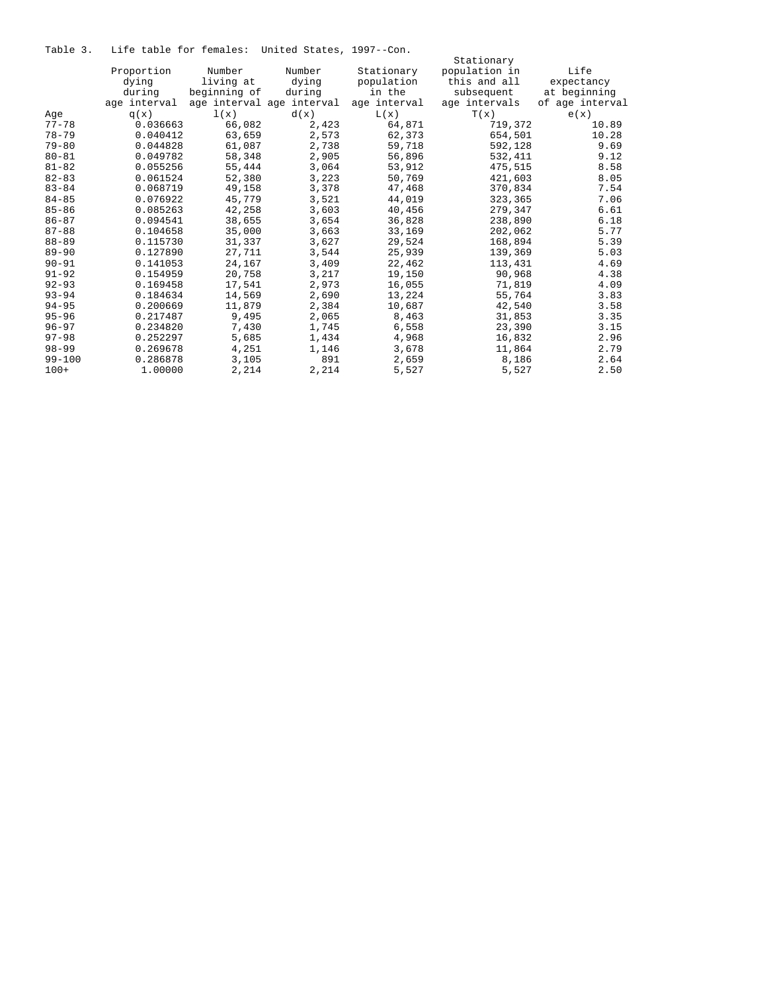Table 3. Life table for females: United States, 1997--Con.

|            |              |              |                           |              | Stationary    |                 |
|------------|--------------|--------------|---------------------------|--------------|---------------|-----------------|
|            | Proportion   | Number       | Number                    | Stationary   | population in | Life            |
|            | dying        | living at    | dying                     | population   | this and all  | expectancy      |
|            | during       | beginning of | during                    | in the       | subsequent    | at beginning    |
|            | age interval |              | age interval age interval | age interval | age intervals | of age interval |
| Aqe        | q(x)         | 1(x)         | d(x)                      | L(x)         | T(x)          | e(x)            |
| $77 - 78$  | 0.036663     | 66,082       | 2,423                     | 64,871       | 719,372       | 10.89           |
| $78 - 79$  | 0.040412     | 63,659       | 2,573                     | 62,373       | 654,501       | 10.28           |
| $79 - 80$  | 0.044828     | 61,087       | 2,738                     | 59,718       | 592,128       | 9.69            |
| $80 - 81$  | 0.049782     | 58,348       | 2,905                     | 56,896       | 532,411       | 9.12            |
| $81 - 82$  | 0.055256     | 55,444       | 3,064                     | 53,912       | 475,515       | 8.58            |
| $82 - 83$  | 0.061524     | 52,380       | 3,223                     | 50,769       | 421,603       | 8.05            |
| $83 - 84$  | 0.068719     | 49,158       | 3,378                     | 47,468       | 370,834       | 7.54            |
| $84 - 85$  | 0.076922     | 45,779       | 3,521                     | 44,019       | 323,365       | 7.06            |
| $85 - 86$  | 0.085263     | 42,258       | 3,603                     | 40,456       | 279,347       | 6.61            |
| $86 - 87$  | 0.094541     | 38,655       | 3,654                     | 36,828       | 238,890       | 6.18            |
| $87 - 88$  | 0.104658     | 35,000       | 3,663                     | 33,169       | 202,062       | 5.77            |
| $88 - 89$  | 0.115730     | 31,337       | 3,627                     | 29,524       | 168,894       | 5.39            |
| $89 - 90$  | 0.127890     | 27,711       | 3,544                     | 25,939       | 139,369       | 5.03            |
| $90 - 91$  | 0.141053     | 24,167       | 3,409                     | 22,462       | 113,431       | 4.69            |
| $91 - 92$  | 0.154959     | 20,758       | 3,217                     | 19,150       | 90,968        | 4.38            |
| $92 - 93$  | 0.169458     | 17,541       | 2,973                     | 16,055       | 71,819        | 4.09            |
| $93 - 94$  | 0.184634     | 14,569       | 2,690                     | 13,224       | 55,764        | 3.83            |
| $94 - 95$  | 0.200669     | 11,879       | 2,384                     | 10,687       | 42,540        | 3.58            |
| $95 - 96$  | 0.217487     | 9,495        | 2,065                     | 8,463        | 31,853        | 3.35            |
| $96 - 97$  | 0.234820     | 7,430        | 1,745                     | 6,558        | 23,390        | 3.15            |
| $97 - 98$  | 0.252297     | 5,685        | 1,434                     | 4,968        | 16,832        | 2.96            |
| $98 - 99$  | 0.269678     | 4,251        | 1,146                     | 3,678        | 11,864        | 2.79            |
| $99 - 100$ | 0.286878     | 3,105        | 891                       | 2,659        | 8,186         | 2.64            |
| $100+$     | 1,00000      | 2,214        | 2,214                     | 5,527        | 5,527         | 2.50            |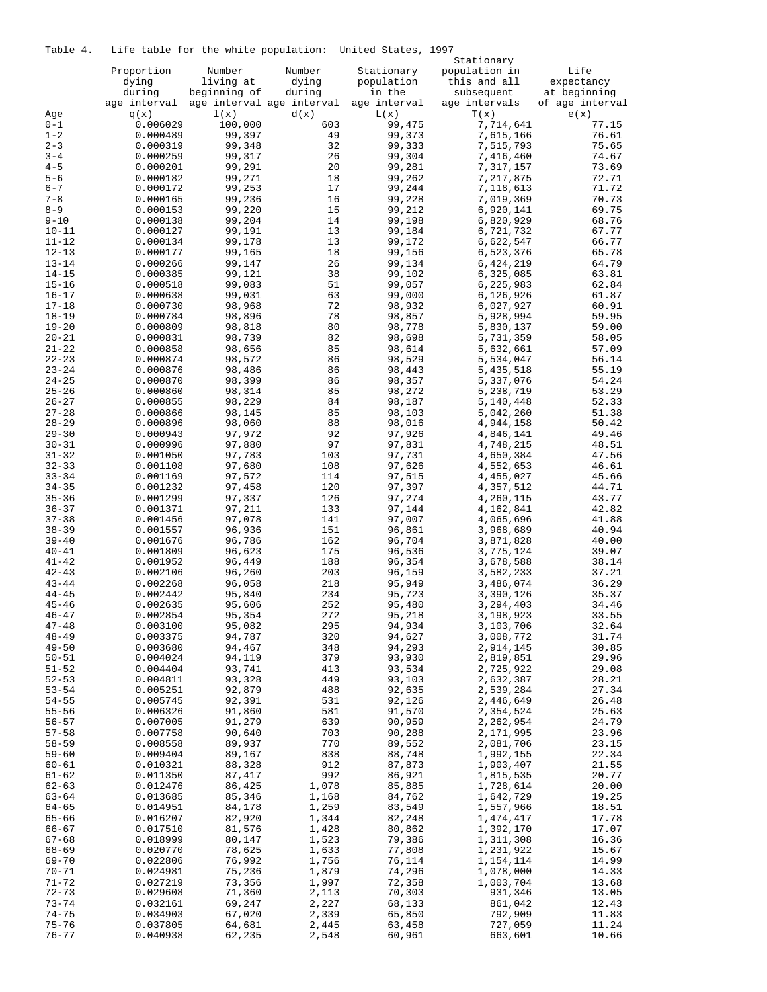Table 4. Life table for the white population: United States, 1997

| ⊥av⊥c                  |                      | nire cabie for the white population. |                           | UILLUCU DUALCO,  | Stationary             |                            |
|------------------------|----------------------|--------------------------------------|---------------------------|------------------|------------------------|----------------------------|
|                        | Proportion           | Number                               | Number                    | Stationary       | population in          | Life                       |
|                        | dying                | living at                            | dying                     | population       | this and all           |                            |
|                        | during               | beginning of                         |                           | in the           |                        | expectancy<br>at beginning |
|                        |                      |                                      | during                    |                  | subsequent             |                            |
|                        | age interval         |                                      | age interval age interval | age interval     | age intervals          | of age interval            |
| Age                    | q(x)                 | 1(x)                                 | d(x)                      | L(x)             | T(x)                   | e(x)                       |
| $0 - 1$                | 0.006029             | 100,000                              | 603                       | 99,475           | 7,714,641              | 77.15                      |
| $1 - 2$                | 0.000489             | 99,397                               | 49                        | 99,373           | 7,615,166              | 76.61                      |
| $2 - 3$                | 0.000319             | 99,348                               | 32                        | 99,333           | 7,515,793              | 75.65                      |
| $3 - 4$                | 0.000259             | 99,317                               | 26                        | 99,304           | 7,416,460              | 74.67                      |
| $4 - 5$                | 0.000201             | 99,291                               | 20                        | 99,281           | 7,317,157              | 73.69                      |
| $5 - 6$                | 0.000182             | 99,271                               | 18                        | 99,262           | 7,217,875              | 72.71                      |
| $6 - 7$                | 0.000172             | 99,253                               | 17                        | 99,244           | 7,118,613              | 71.72                      |
| $7 - 8$                | 0.000165             | 99,236                               | 16                        | 99,228           | 7,019,369              | 70.73                      |
| $8 - 9$                | 0.000153             | 99,220                               | 15                        | 99,212           | 6,920,141              | 69.75                      |
| $9 - 10$               | 0.000138             | 99,204                               | 14                        | 99,198           | 6,820,929              | 68.76                      |
| $10 - 11$              | 0.000127             | 99,191                               | 13                        | 99,184           | 6,721,732              | 67.77                      |
| $11 - 12$              | 0.000134             | 99,178                               | 13                        | 99,172           | 6,622,547              | 66.77                      |
| $12 - 13$              | 0.000177             | 99,165                               | 18                        | 99,156           | 6,523,376              | 65.78                      |
| $13 - 14$              | 0.000266             | 99,147                               | 26                        | 99,134           | 6,424,219              | 64.79                      |
| $14 - 15$              | 0.000385             | 99,121                               | 38                        | 99,102           | 6,325,085              | 63.81                      |
| $15 - 16$              | 0.000518             | 99,083                               | 51                        | 99,057           | 6,225,983              | 62.84                      |
| $16 - 17$              | 0.000638             | 99,031                               | 63                        | 99,000           | 6,126,926              | 61.87                      |
| $17 - 18$              | 0.000730             | 98,968                               | 72                        | 98,932           | 6,027,927              | 60.91                      |
| $18 - 19$              | 0.000784             | 98,896                               | 78                        | 98,857           | 5,928,994              | 59.95                      |
| $19 - 20$              | 0.000809             | 98,818                               | 80                        | 98,778           | 5,830,137              | 59.00                      |
| $20 - 21$              | 0.000831             | 98,739                               | 82                        | 98,698           | 5,731,359              | 58.05                      |
| $21 - 22$              | 0.000858             | 98,656                               | 85                        | 98,614           | 5,632,661              | 57.09                      |
| $22 - 23$              | 0.000874             | 98,572                               | 86                        | 98,529           | 5,534,047              | 56.14                      |
| $23 - 24$              | 0.000876             | 98,486                               | 86                        | 98,443           | 5,435,518              | 55.19                      |
| $24 - 25$              | 0.000870             | 98,399                               | 86                        | 98,357           | 5,337,076              | 54.24                      |
| $25 - 26$              | 0.000860             | 98,314                               | 85                        | 98,272           | 5,238,719              | 53.29                      |
| $26 - 27$              | 0.000855             | 98,229                               | 84                        | 98,187           | 5,140,448              | 52.33                      |
| $27 - 28$              | 0.000866             | 98,145                               | 85                        | 98,103           | 5,042,260              | 51.38                      |
| $28 - 29$              | 0.000896             | 98,060                               | 88                        | 98,016           | 4,944,158              | 50.42                      |
| $29 - 30$              | 0.000943             | 97,972                               | 92                        | 97,926           | 4,846,141              | 49.46                      |
| $30 - 31$              | 0.000996             | 97,880                               | 97                        | 97,831           | 4,748,215              | 48.51                      |
| $31 - 32$              | 0.001050             | 97,783                               | 103                       | 97,731           | 4,650,384              | 47.56                      |
| $32 - 33$              | 0.001108             | 97,680                               | 108                       | 97,626           | 4,552,653              | 46.61                      |
| $33 - 34$              | 0.001169             | 97,572                               | 114                       | 97,515           | 4,455,027              | 45.66                      |
| $34 - 35$              | 0.001232             | 97,458                               | 120                       | 97,397           | 4,357,512              | 44.71                      |
| $35 - 36$              | 0.001299             | 97,337                               | 126                       | 97,274           | 4,260,115              | 43.77                      |
| $36 - 37$              | 0.001371             | 97,211                               | 133                       | 97,144           | 4,162,841              | 42.82                      |
| $37 - 38$              | 0.001456             | 97,078                               | 141                       | 97,007           | 4,065,696              | 41.88                      |
| $38 - 39$              | 0.001557             | 96,936                               | 151                       | 96,861           | 3,968,689              | 40.94                      |
| $39 - 40$              | 0.001676             | 96,786                               | 162                       | 96,704           | 3,871,828              | 40.00                      |
| $40 - 41$              | 0.001809             | 96,623                               | 175                       | 96,536           | 3,775,124              | 39.07                      |
| $41 - 42$              | 0.001952             | 96,449                               | 188                       | 96,354           | 3,678,588              | 38.14                      |
| $42 - 43$              | 0.002106             | 96,260                               | 203                       | 96,159           | 3,582,233              | 37.21                      |
| $43 - 44$              | 0.002268             | 96,058                               | 218                       | 95,949           | 3,486,074              | 36.29                      |
| $44 - 45$              | 0.002442             | 95,840                               | 234                       | 95,723           | 3,390,126              | 35.37                      |
| $45 - 46$              | 0.002635             | 95,606                               | 252                       | 95,480           | 3,294,403              | 34.46                      |
|                        |                      |                                      |                           |                  |                        | 33.55                      |
| $46 - 47$<br>$47 - 48$ | 0.002854<br>0.003100 | 95,354<br>95,082                     | 272<br>295                | 95,218<br>94,934 | 3,198,923<br>3,103,706 | 32.64                      |
| $48 - 49$              | 0.003375             | 94,787                               | 320                       | 94,627           | 3,008,772              | 31.74                      |
| $49 - 50$              | 0.003680             | 94,467                               | 348                       | 94,293           | 2,914,145              | 30.85                      |
| $50 - 51$              | 0.004024             | 94,119                               | 379                       | 93,930           | 2,819,851              | 29.96                      |
| $51 - 52$              | 0.004404             | 93,741                               | 413                       | 93,534           | 2,725,922              | 29.08                      |
| $52 - 53$              | 0.004811             | 93,328                               | 449                       | 93,103           | 2,632,387              | 28.21                      |
| $53 - 54$              | 0.005251             | 92,879                               | 488                       | 92,635           | 2,539,284              | 27.34                      |
| $54 - 55$              | 0.005745             | 92,391                               | 531                       | 92,126           | 2,446,649              | 26.48                      |
| $55 - 56$              | 0.006326             | 91,860                               | 581                       | 91,570           | 2,354,524              | 25.63                      |
| $56 - 57$              | 0.007005             | 91,279                               | 639                       |                  | 2,262,954              | 24.79                      |
|                        |                      |                                      |                           | 90,959           | 2,171,995              |                            |
| $57 - 58$              | 0.007758             | 90,640                               | 703                       | 90,288           |                        | 23.96                      |
| $58 - 59$              | 0.008558             | 89,937                               | 770                       | 89,552           | 2,081,706              | 23.15                      |
| $59 - 60$              | 0.009404             | 89,167                               | 838                       | 88,748           | 1,992,155              | 22.34                      |
| $60 - 61$              | 0.010321             | 88,328                               | 912                       | 87,873           | 1,903,407              | 21.55                      |
| $61 - 62$              | 0.011350             | 87,417                               | 992                       | 86,921           | 1,815,535              | 20.77                      |
| $62 - 63$              | 0.012476             | 86,425                               | 1,078                     | 85,885           | 1,728,614              | 20.00                      |
| $63 - 64$              | 0.013685             | 85,346                               | 1,168                     | 84,762           | 1,642,729              | 19.25                      |
| $64 - 65$              | 0.014951             | 84,178                               | 1,259                     | 83,549           | 1,557,966              | 18.51                      |
| $65 - 66$              | 0.016207             | 82,920                               | 1,344                     | 82,248           | 1,474,417              | 17.78                      |
| $66 - 67$              | 0.017510             | 81,576                               | 1,428                     | 80,862           | 1,392,170              | 17.07                      |
| $67 - 68$              | 0.018999             | 80,147                               | 1,523                     | 79,386           | 1,311,308              | 16.36                      |
| $68 - 69$              | 0.020770             | 78,625                               | 1,633                     | 77,808           | 1,231,922              | 15.67                      |
| $69 - 70$              | 0.022806             | 76,992                               | 1,756                     | 76,114           | 1,154,114              | 14.99                      |
| $70 - 71$              | 0.024981             | 75,236                               | 1,879                     | 74,296           | 1,078,000              | 14.33                      |
| $71 - 72$              | 0.027219             | 73,356                               | 1,997                     | 72,358           | 1,003,704              | 13.68                      |
| $72 - 73$              | 0.029608             | 71,360                               | 2,113                     | 70,303           | 931,346                | 13.05                      |
| $73 - 74$              | 0.032161             | 69,247                               | 2,227                     | 68,133           | 861,042                | 12.43                      |
| $74 - 75$              | 0.034903             | 67,020                               | 2,339                     | 65,850           | 792,909                | 11.83                      |
| $75 - 76$              | 0.037805             | 64,681                               | 2,445                     | 63,458           | 727,059                | 11.24                      |
| $76 - 77$              | 0.040938             | 62,235                               | 2,548                     | 60,961           | 663,601                | 10.66                      |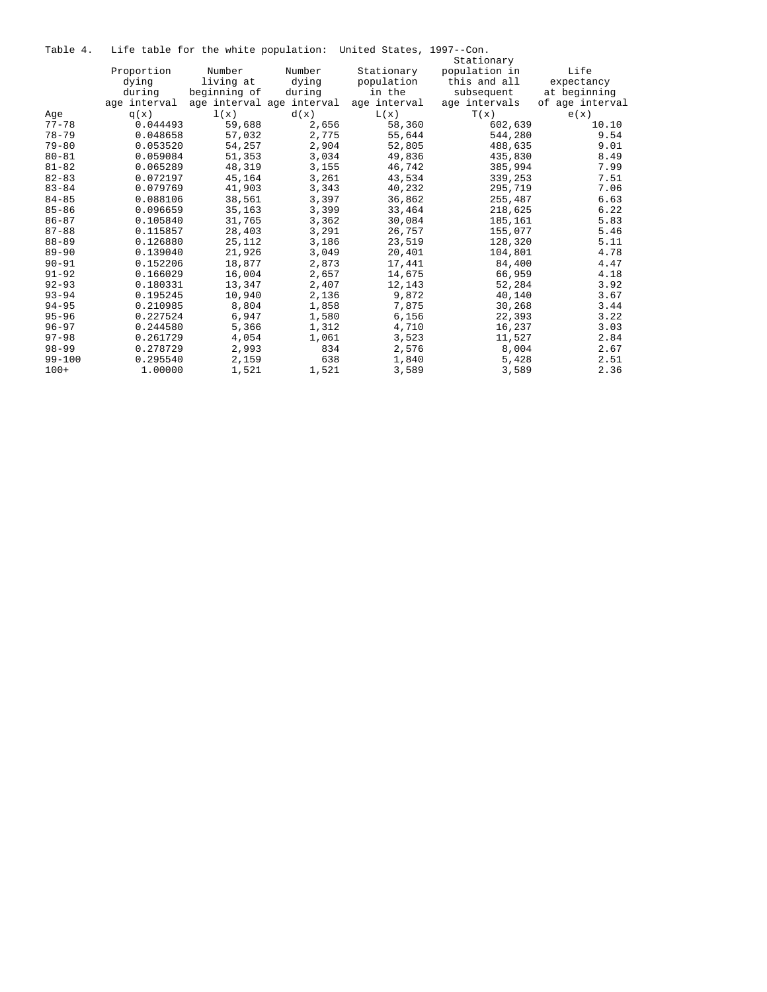|  |  |  |  |  |  | Table 4. Life table for the white population: United States, 1997--Con. |  |  |  |
|--|--|--|--|--|--|-------------------------------------------------------------------------|--|--|--|
|--|--|--|--|--|--|-------------------------------------------------------------------------|--|--|--|

|            |              |              |                           | bite capic for the which population. Shirted beated, for |               |                 |
|------------|--------------|--------------|---------------------------|----------------------------------------------------------|---------------|-----------------|
|            |              |              |                           |                                                          | Stationary    |                 |
|            | Proportion   | Number       | Number                    | Stationary                                               | population in | Life            |
|            | dying        | living at    | dying                     | population                                               | this and all  | expectancy      |
|            | during       | beginning of | during                    | in the                                                   | subsequent    | at beginning    |
|            | age interval |              | age interval age interval | age interval                                             | age intervals | of age interval |
| Age        | q(x)         | 1(x)         | d(x)                      | L(x)                                                     | T(x)          | e(x)            |
| $77 - 78$  | 0.044493     | 59,688       | 2,656                     | 58,360                                                   | 602,639       | 10.10           |
| $78 - 79$  | 0.048658     | 57,032       | 2,775                     | 55,644                                                   | 544,280       | 9.54            |
| $79 - 80$  | 0.053520     | 54,257       | 2,904                     | 52,805                                                   | 488,635       | 9.01            |
| $80 - 81$  | 0.059084     | 51,353       | 3,034                     | 49,836                                                   | 435,830       | 8.49            |
| $81 - 82$  | 0.065289     | 48,319       | 3,155                     | 46,742                                                   | 385,994       | 7.99            |
| $82 - 83$  | 0.072197     | 45,164       | 3,261                     | 43,534                                                   | 339,253       | 7.51            |
| $83 - 84$  | 0.079769     | 41,903       | 3,343                     | 40,232                                                   | 295,719       | 7.06            |
| $84 - 85$  | 0.088106     | 38,561       | 3,397                     | 36,862                                                   | 255,487       | 6.63            |
| $85 - 86$  | 0.096659     | 35,163       | 3,399                     | 33,464                                                   | 218,625       | 6.22            |
| $86 - 87$  | 0.105840     | 31,765       | 3,362                     | 30,084                                                   | 185,161       | 5.83            |
| $87 - 88$  | 0.115857     | 28,403       | 3,291                     | 26,757                                                   | 155,077       | 5.46            |
| $88 - 89$  | 0.126880     | 25,112       | 3,186                     | 23,519                                                   | 128,320       | 5.11            |
| $89 - 90$  | 0.139040     | 21,926       | 3,049                     | 20,401                                                   | 104,801       | 4.78            |
| $90 - 91$  | 0.152206     | 18,877       | 2,873                     | 17,441                                                   | 84,400        | 4.47            |
| $91 - 92$  | 0.166029     | 16,004       | 2,657                     | 14,675                                                   | 66,959        | 4.18            |
| $92 - 93$  | 0.180331     | 13,347       | 2,407                     | 12,143                                                   | 52,284        | 3.92            |
| $93 - 94$  | 0.195245     | 10,940       | 2,136                     | 9,872                                                    | 40,140        | 3.67            |
| $94 - 95$  | 0.210985     | 8,804        | 1,858                     | 7,875                                                    | 30,268        | 3.44            |
| $95 - 96$  | 0.227524     | 6,947        | 1,580                     | 6,156                                                    | 22,393        | 3.22            |
| $96 - 97$  | 0.244580     | 5,366        | 1,312                     | 4,710                                                    | 16,237        | 3.03            |
| $97 - 98$  | 0.261729     | 4,054        | 1,061                     | 3,523                                                    | 11,527        | 2.84            |
| $98 - 99$  | 0.278729     | 2,993        | 834                       | 2,576                                                    | 8,004         | 2.67            |
| $99 - 100$ | 0.295540     | 2,159        | 638                       | 1,840                                                    | 5,428         | 2.51            |
| $100+$     | 1,00000      | 1,521        | 1,521                     | 3,589                                                    | 3,589         | 2.36            |
|            |              |              |                           |                                                          |               |                 |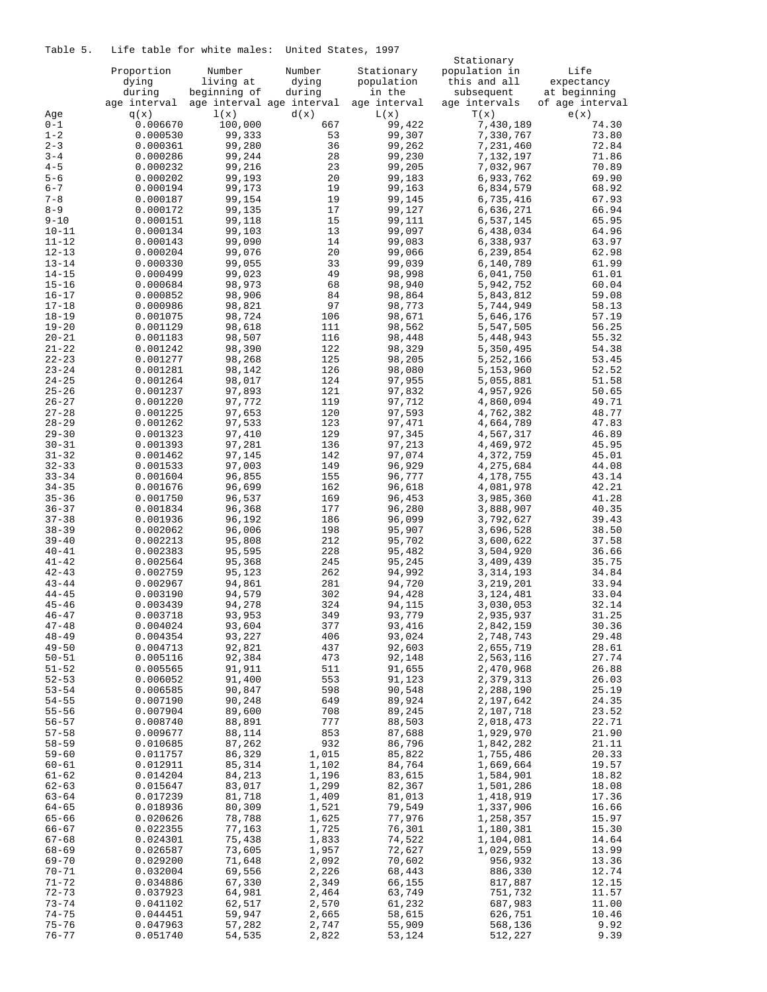Table 5. Life table for white males: United States, 1997

|           |              |                           |        |              | Stationary    |                 |  |
|-----------|--------------|---------------------------|--------|--------------|---------------|-----------------|--|
|           | Proportion   | Number                    | Number | Stationary   | population in | Life            |  |
|           | dying        | living at                 | dying  | population   | this and all  | expectancy      |  |
|           | during       | beginning of              | during | in the       | subsequent    | at beginning    |  |
|           | age interval | age interval age interval |        | age interval | age intervals | of age interval |  |
| Age       | q(x)         | 1(x)                      | d(x)   | L(x)         | T(x)          | e(x)            |  |
| $0 - 1$   | 0.006670     | 100,000                   | 667    | 99,422       | 7,430,189     | 74.30           |  |
| $1 - 2$   | 0.000530     | 99,333                    | 53     | 99,307       | 7,330,767     | 73.80           |  |
| $2 - 3$   | 0.000361     | 99,280                    | 36     | 99,262       | 7,231,460     | 72.84           |  |
| $3 - 4$   |              |                           |        |              |               |                 |  |
|           | 0.000286     | 99,244                    | 28     | 99,230       | 7,132,197     | 71.86           |  |
| $4 - 5$   | 0.000232     | 99,216                    | 23     | 99,205       | 7,032,967     | 70.89           |  |
| $5 - 6$   | 0.000202     | 99,193                    | 20     | 99,183       | 6,933,762     | 69.90           |  |
| $6 - 7$   | 0.000194     | 99,173                    | 19     | 99,163       | 6,834,579     | 68.92           |  |
| $7 - 8$   | 0.000187     | 99,154                    | 19     | 99,145       | 6,735,416     | 67.93           |  |
| $8 - 9$   | 0.000172     | 99,135                    | 17     | 99,127       | 6,636,271     | 66.94           |  |
| $9 - 10$  | 0.000151     | 99,118                    | 15     | 99,111       | 6,537,145     | 65.95           |  |
| $10 - 11$ | 0.000134     | 99,103                    | 13     | 99,097       | 6,438,034     | 64.96           |  |
| $11 - 12$ | 0.000143     | 99,090                    | 14     | 99,083       | 6,338,937     | 63.97           |  |
| $12 - 13$ | 0.000204     | 99,076                    | 20     | 99,066       | 6,239,854     | 62.98           |  |
| $13 - 14$ | 0.000330     | 99,055                    | 33     | 99,039       | 6,140,789     | 61.99           |  |
| $14 - 15$ | 0.000499     | 99,023                    | 49     | 98,998       | 6,041,750     | 61.01           |  |
| $15 - 16$ | 0.000684     | 98,973                    | 68     | 98,940       | 5,942,752     | 60.04           |  |
| $16 - 17$ | 0.000852     | 98,906                    | 84     | 98,864       | 5,843,812     | 59.08           |  |
| $17 - 18$ | 0.000986     | 98,821                    | 97     |              |               | 58.13           |  |
|           |              |                           |        | 98,773       | 5,744,949     |                 |  |
| $18 - 19$ | 0.001075     | 98,724                    | 106    | 98,671       | 5,646,176     | 57.19           |  |
| $19 - 20$ | 0.001129     | 98,618                    | 111    | 98,562       | 5,547,505     | 56.25           |  |
| $20 - 21$ | 0.001183     | 98,507                    | 116    | 98,448       | 5,448,943     | 55.32           |  |
| $21 - 22$ | 0.001242     | 98,390                    | 122    | 98,329       | 5,350,495     | 54.38           |  |
| $22 - 23$ | 0.001277     | 98,268                    | 125    | 98,205       | 5,252,166     | 53.45           |  |
| $23 - 24$ | 0.001281     | 98,142                    | 126    | 98,080       | 5,153,960     | 52.52           |  |
| $24 - 25$ | 0.001264     | 98,017                    | 124    | 97,955       | 5,055,881     | 51.58           |  |
| $25 - 26$ | 0.001237     | 97,893                    | 121    | 97,832       | 4,957,926     | 50.65           |  |
| $26 - 27$ | 0.001220     | 97,772                    | 119    | 97,712       | 4,860,094     | 49.71           |  |
| $27 - 28$ | 0.001225     | 97,653                    | 120    | 97,593       | 4,762,382     | 48.77           |  |
| $28 - 29$ | 0.001262     | 97,533                    | 123    | 97,471       | 4,664,789     | 47.83           |  |
| $29 - 30$ | 0.001323     | 97,410                    | 129    | 97,345       | 4,567,317     | 46.89           |  |
| $30 - 31$ | 0.001393     | 97,281                    | 136    | 97,213       | 4,469,972     | 45.95           |  |
| $31 - 32$ | 0.001462     | 97,145                    | 142    | 97,074       | 4,372,759     | 45.01           |  |
| $32 - 33$ | 0.001533     | 97,003                    | 149    | 96,929       | 4,275,684     | 44.08           |  |
| $33 - 34$ | 0.001604     | 96,855                    | 155    | 96,777       | 4,178,755     | 43.14           |  |
| $34 - 35$ |              | 96,699                    |        |              |               | 42.21           |  |
|           | 0.001676     |                           | 162    | 96,618       | 4,081,978     |                 |  |
| $35 - 36$ | 0.001750     | 96,537                    | 169    | 96,453       | 3,985,360     | 41.28           |  |
| $36 - 37$ | 0.001834     | 96,368                    | 177    | 96,280       | 3,888,907     | 40.35           |  |
| $37 - 38$ | 0.001936     | 96,192                    | 186    | 96,099       | 3,792,627     | 39.43           |  |
| $38 - 39$ | 0.002062     | 96,006                    | 198    | 95,907       | 3,696,528     | 38.50           |  |
| $39 - 40$ | 0.002213     | 95,808                    | 212    | 95,702       | 3,600,622     | 37.58           |  |
| $40 - 41$ | 0.002383     | 95,595                    | 228    | 95,482       | 3,504,920     | 36.66           |  |
| $41 - 42$ | 0.002564     | 95,368                    | 245    | 95,245       | 3,409,439     | 35.75           |  |
| $42 - 43$ | 0.002759     | 95,123                    | 262    | 94,992       | 3, 314, 193   | 34.84           |  |
| $43 - 44$ | 0.002967     | 94,861                    | 281    | 94,720       | 3, 219, 201   | 33.94           |  |
| $44 - 45$ | 0.003190     | 94,579                    | 302    | 94,428       | 3,124,481     | 33.04           |  |
| $45 - 46$ | 0.003439     | 94,278                    | 324    | 94,115       | 3,030,053     | 32.14           |  |
| $46 - 47$ | 0.003718     | 93,953                    | 349    | 93,779       | 2,935,937     | 31.25           |  |
| $47 - 48$ | 0.004024     | 93,604                    | 377    | 93,416       | 2,842,159     | 30.36           |  |
| $48 - 49$ | 0.004354     | 93,227                    | 406    | 93,024       | 2,748,743     | 29.48           |  |
| $49 - 50$ | 0.004713     | 92,821                    | 437    | 92,603       | 2,655,719     | 28.61           |  |
| $50 - 51$ | 0.005116     | 92,384                    | 473    | 92,148       | 2,563,116     | 27.74           |  |
| $51 - 52$ | 0.005565     | 91,911                    | 511    | 91,655       | 2,470,968     | 26.88           |  |
| $52 - 53$ | 0.006052     | 91,400                    | 553    | 91,123       | 2,379,313     | 26.03           |  |
| $53 - 54$ | 0.006585     | 90,847                    | 598    | 90,548       | 2,288,190     | 25.19           |  |
| $54 - 55$ | 0.007190     | 90,248                    | 649    | 89,924       | 2,197,642     | 24.35           |  |
| $55 - 56$ | 0.007904     | 89,600                    | 708    | 89,245       | 2,107,718     | 23.52           |  |
| $56 - 57$ | 0.008740     | 88,891                    | 777    | 88,503       | 2,018,473     | 22.71           |  |
|           |              |                           |        |              |               |                 |  |
| $57 - 58$ | 0.009677     | 88,114                    | 853    | 87,688       | 1,929,970     | 21.90           |  |
| $58 - 59$ | 0.010685     | 87,262                    | 932    | 86,796       | 1,842,282     | 21.11           |  |
| $59 - 60$ | 0.011757     | 86,329                    | 1,015  | 85,822       | 1,755,486     | 20.33           |  |
| $60 - 61$ | 0.012911     | 85,314                    | 1,102  | 84,764       | 1,669,664     | 19.57           |  |
| $61 - 62$ | 0.014204     | 84,213                    | 1,196  | 83,615       | 1,584,901     | 18.82           |  |
| $62 - 63$ | 0.015647     | 83,017                    | 1,299  | 82,367       | 1,501,286     | 18.08           |  |
| $63 - 64$ | 0.017239     | 81,718                    | 1,409  | 81,013       | 1,418,919     | 17.36           |  |
| $64 - 65$ | 0.018936     | 80,309                    | 1,521  | 79,549       | 1,337,906     | 16.66           |  |
| $65 - 66$ | 0.020626     | 78,788                    | 1,625  | 77,976       | 1,258,357     | 15.97           |  |
| $66 - 67$ | 0.022355     | 77,163                    | 1,725  | 76,301       | 1,180,381     | 15.30           |  |
| $67 - 68$ | 0.024301     | 75,438                    | 1,833  | 74,522       | 1,104,081     | 14.64           |  |
| $68 - 69$ | 0.026587     | 73,605                    | 1,957  | 72,627       | 1,029,559     | 13.99           |  |
| $69 - 70$ | 0.029200     | 71,648                    | 2,092  | 70,602       | 956,932       | 13.36           |  |
| $70 - 71$ | 0.032004     | 69,556                    | 2,226  | 68,443       | 886,330       | 12.74           |  |
| $71 - 72$ | 0.034886     | 67,330                    | 2,349  | 66,155       | 817,887       | 12.15           |  |
| $72 - 73$ | 0.037923     | 64,981                    | 2,464  | 63,749       | 751,732       | 11.57           |  |
| $73 - 74$ |              | 62,517                    |        |              |               |                 |  |
|           | 0.041102     |                           | 2,570  | 61,232       | 687,983       | 11.00           |  |
| $74 - 75$ | 0.044451     | 59,947                    | 2,665  | 58,615       | 626,751       | 10.46           |  |
| $75 - 76$ | 0.047963     | 57,282                    | 2,747  | 55,909       | 568,136       | 9.92            |  |
| $76 - 77$ | 0.051740     | 54,535                    | 2,822  | 53,124       | 512,227       | 9.39            |  |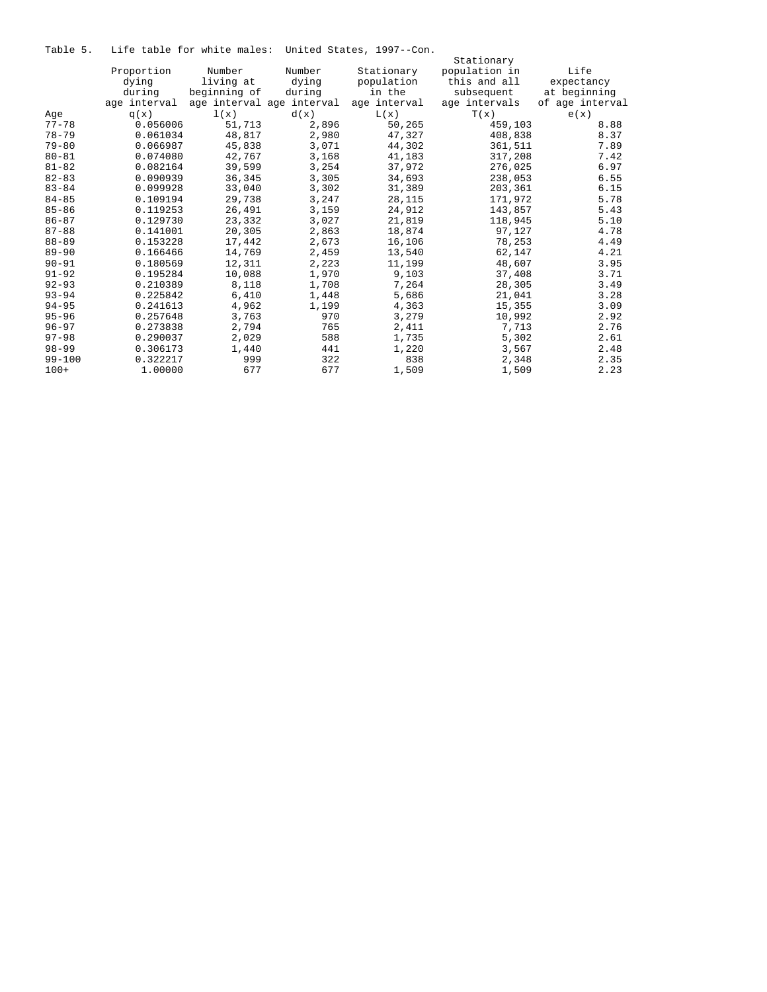Table 5. Life table for white males: United States, 1997--Con.

|            |              |              |                           |              | Stationary    |                 |
|------------|--------------|--------------|---------------------------|--------------|---------------|-----------------|
|            | Proportion   | Number       | Number                    | Stationary   | population in | Life            |
|            | dying        | living at    | dying                     | population   | this and all  | expectancy      |
|            | during       | beginning of | during                    | in the       | subsequent    | at beginning    |
|            | age interval |              | age interval age interval | age interval | age intervals | of age interval |
| Age        | q(x)         | 1(x)         | d(x)                      | L(x)         | T(x)          | e(x)            |
| $77 - 78$  | 0.056006     | 51,713       | 2,896                     | 50,265       | 459,103       | 8.88            |
| $78 - 79$  | 0.061034     | 48,817       | 2,980                     | 47,327       | 408,838       | 8.37            |
| $79 - 80$  | 0.066987     | 45,838       | 3,071                     | 44,302       | 361,511       | 7.89            |
| $80 - 81$  | 0.074080     | 42,767       | 3,168                     | 41,183       | 317,208       | 7.42            |
| $81 - 82$  | 0.082164     | 39,599       | 3,254                     | 37,972       | 276,025       | 6.97            |
| $82 - 83$  | 0.090939     | 36,345       | 3,305                     | 34,693       | 238,053       | 6.55            |
| $83 - 84$  | 0.099928     | 33,040       | 3,302                     | 31,389       | 203,361       | 6.15            |
| $84 - 85$  | 0.109194     | 29,738       | 3,247                     | 28,115       | 171,972       | 5.78            |
| $85 - 86$  | 0.119253     | 26,491       | 3,159                     | 24,912       | 143,857       | 5.43            |
| $86 - 87$  | 0.129730     | 23,332       | 3,027                     | 21,819       | 118,945       | 5.10            |
| $87 - 88$  | 0.141001     | 20,305       | 2,863                     | 18,874       | 97,127        | 4.78            |
| $88 - 89$  | 0.153228     | 17,442       | 2,673                     | 16,106       | 78,253        | 4.49            |
| $89 - 90$  | 0.166466     | 14,769       | 2,459                     | 13,540       | 62,147        | 4.21            |
| $90 - 91$  | 0.180569     | 12,311       | 2,223                     | 11,199       | 48,607        | 3.95            |
| $91 - 92$  | 0.195284     | 10,088       | 1,970                     | 9,103        | 37,408        | 3.71            |
| $92 - 93$  | 0.210389     | 8,118        | 1,708                     | 7,264        | 28,305        | 3.49            |
| $93 - 94$  | 0.225842     | 6,410        | 1,448                     | 5,686        | 21,041        | 3.28            |
| $94 - 95$  | 0.241613     | 4,962        | 1,199                     | 4,363        | 15,355        | 3.09            |
| $95 - 96$  | 0.257648     | 3,763        | 970                       | 3,279        | 10,992        | 2.92            |
| $96 - 97$  | 0.273838     | 2,794        | 765                       | 2,411        | 7,713         | 2.76            |
| $97 - 98$  | 0.290037     | 2,029        | 588                       | 1,735        | 5,302         | 2.61            |
| $98 - 99$  | 0.306173     | 1,440        | 441                       | 1,220        | 3,567         | 2.48            |
| $99 - 100$ | 0.322217     | 999          | 322                       | 838          | 2,348         | 2.35            |
| $100+$     | 1,00000      | 677          | 677                       | 1,509        | 1,509         | 2.23            |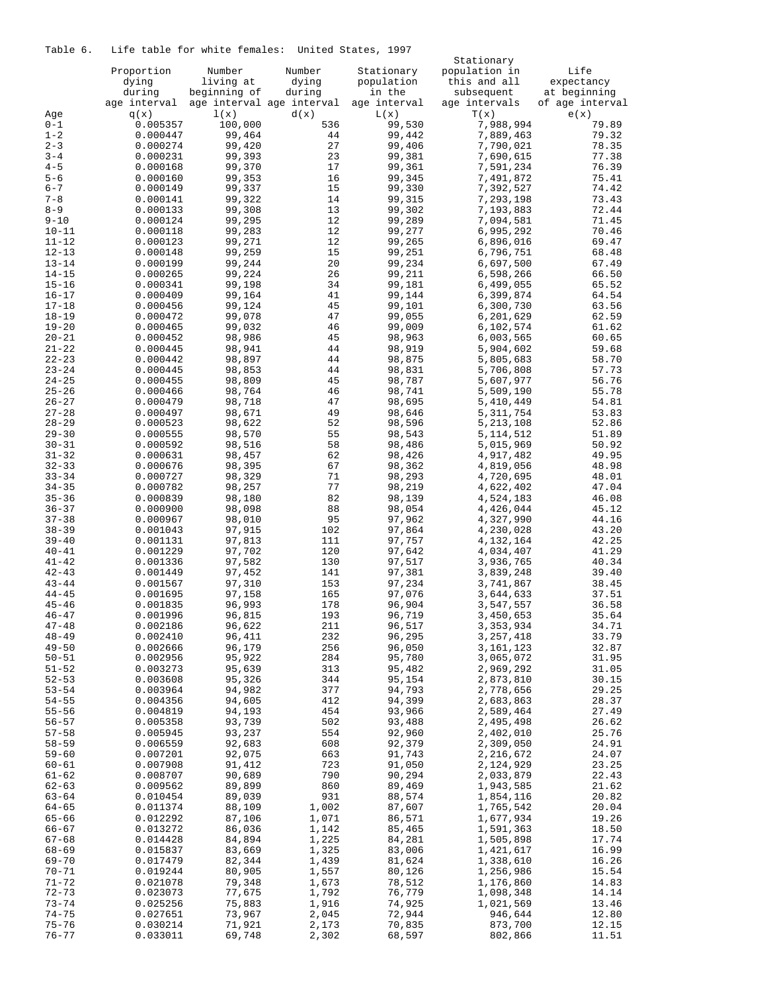# Table 6. Life table for white females: United States, 1997

|                    |              |                           |        |              | Stationary    |                 |
|--------------------|--------------|---------------------------|--------|--------------|---------------|-----------------|
|                    | Proportion   | Number                    | Number | Stationary   | population in | Life            |
|                    | dying        | living at                 | dying  | population   | this and all  | expectancy      |
|                    | during       | beginning of              | during | in the       | subsequent    | at beginning    |
|                    | age interval | age interval age interval |        | age interval | age intervals | of age interval |
| Age                | q(x)         | 1(x)                      | d(x)   | L(x)         | T(x)          | e(x)            |
| $0 - 1$            | 0.005357     | 100,000                   | 536    | 99,530       | 7,988,994     | 79.89           |
| $1 - 2$            | 0.000447     | 99,464                    | 44     | 99,442       | 7,889,463     | 79.32           |
| $2 - 3$            | 0.000274     | 99,420                    | 27     | 99,406       | 7,790,021     | 78.35           |
| $3 - 4$            | 0.000231     | 99,393                    | 23     | 99,381       | 7,690,615     | 77.38           |
| $4 - 5$            | 0.000168     | 99,370                    | 17     | 99,361       | 7,591,234     | 76.39           |
| $5 - 6$            | 0.000160     | 99,353                    | 16     | 99,345       | 7,491,872     | 75.41           |
| $6 - 7$            | 0.000149     | 99,337                    | 15     | 99,330       | 7,392,527     | 74.42           |
| $7 - 8$            | 0.000141     | 99,322                    | 14     | 99,315       | 7,293,198     | 73.43           |
|                    |              |                           |        |              |               |                 |
| $8 - 9$            | 0.000133     | 99,308                    | 13     | 99,302       | 7,193,883     | 72.44           |
| $9 - 10$           | 0.000124     | 99,295                    | 12     | 99,289       | 7,094,581     | 71.45           |
| $10 - 11$          | 0.000118     | 99,283                    | 12     | 99,277       | 6,995,292     | 70.46           |
| $11 - 12$          | 0.000123     | 99,271                    | 12     | 99,265       | 6,896,016     | 69.47           |
| $12 - 13$          | 0.000148     | 99,259                    | 15     | 99,251       | 6,796,751     | 68.48           |
| $13 - 14$          | 0.000199     | 99,244                    | 20     | 99,234       | 6,697,500     | 67.49           |
| $14 - 15$          | 0.000265     | 99,224                    | 26     | 99,211       | 6,598,266     | 66.50           |
| $15 - 16$          | 0.000341     | 99,198                    | 34     | 99,181       | 6,499,055     | 65.52           |
| $16 - 17$          | 0.000409     | 99,164                    | 41     | 99,144       | 6,399,874     | 64.54           |
| $17 - 18$          | 0.000456     | 99,124                    | 45     | 99,101       | 6,300,730     | 63.56           |
| $18 - 19$          | 0.000472     | 99,078                    | 47     | 99,055       | 6,201,629     | 62.59           |
| $19 - 20$          | 0.000465     | 99,032                    | 46     | 99,009       | 6,102,574     | 61.62           |
| $20 - 21$          | 0.000452     | 98,986                    | 45     | 98,963       | 6,003,565     | 60.65           |
| $21 - 22$          | 0.000445     | 98,941                    | 44     | 98,919       | 5,904,602     | 59.68           |
| $22 - 23$          | 0.000442     | 98,897                    | 44     | 98,875       | 5,805,683     | 58.70           |
| $23 - 24$          | 0.000445     | 98,853                    | 44     | 98,831       | 5,706,808     | 57.73           |
| $24 - 25$          | 0.000455     | 98,809                    | 45     | 98,787       | 5,607,977     | 56.76           |
| $25 - 26$          | 0.000466     | 98,764                    | 46     | 98,741       | 5,509,190     | 55.78           |
| $26 - 27$          | 0.000479     | 98,718                    | 47     | 98,695       | 5,410,449     | 54.81           |
| $27 - 28$          | 0.000497     | 98,671                    | 49     | 98,646       | 5, 311, 754   | 53.83           |
| $28 - 29$          | 0.000523     | 98,622                    | 52     | 98,596       | 5, 213, 108   | 52.86           |
| $29 - 30$          | 0.000555     | 98,570                    | 55     | 98,543       | 5, 114, 512   | 51.89           |
| $30 - 31$          | 0.000592     | 98,516                    | 58     | 98,486       | 5,015,969     | 50.92           |
| $31 - 32$          | 0.000631     | 98,457                    | 62     | 98,426       | 4,917,482     | 49.95           |
| $32 - 33$          | 0.000676     | 98,395                    | 67     | 98,362       | 4,819,056     | 48.98           |
| $33 - 34$          | 0.000727     | 98,329                    | 71     | 98,293       | 4,720,695     | 48.01           |
| $34 - 35$          | 0.000782     | 98,257                    | 77     | 98,219       | 4,622,402     | 47.04           |
| $35 - 36$          | 0.000839     | 98,180                    | 82     | 98,139       | 4,524,183     | 46.08           |
| $36 - 37$          |              |                           |        |              |               |                 |
|                    | 0.000900     | 98,098                    | 88     | 98,054       | 4,426,044     | 45.12           |
| $37 - 38$          | 0.000967     | 98,010                    | 95     | 97,962       | 4,327,990     | 44.16           |
| $38 - 39$          | 0.001043     | 97,915                    | 102    | 97,864       | 4,230,028     | 43.20           |
| $39 - 40$          | 0.001131     | 97,813                    | 111    | 97,757       | 4,132,164     | 42.25           |
| $40 - 41$          | 0.001229     | 97,702                    | 120    | 97,642       | 4,034,407     | 41.29           |
| $41 - 42$          | 0.001336     | 97,582                    | 130    | 97,517       | 3,936,765     | 40.34           |
| $42 - 43$          | 0.001449     | 97,452                    | 141    | 97,381       | 3,839,248     | 39.40           |
| $43 - 44$          | 0.001567     | 97,310                    | 153    | 97,234       | 3,741,867     | 38.45           |
| $44 - 45$          | 0.001695     | 97,158                    | 165    | 97,076       | 3,644,633     | 37.51           |
| $45 - 46$          | 0.001835     | 96,993                    | 178    | 96,904       | 3,547,557     | 36.58           |
| $46 - 47$          | 0.001996     | 96,815                    | 193    | 96,719       | 3,450,653     | 35.64           |
| $47 - 48$          | 0.002186     | 96,622                    | 211    | 96,517       | 3, 353, 934   | 34.71           |
| $48 - 49$          | 0.002410     | 96,411                    | 232    | 96,295       | 3,257,418     | 33.79           |
| $49 - 50$          | 0.002666     | 96,179                    | 256    | 96,050       | 3,161,123     | 32.87           |
| $50 - 51$          | 0.002956     | 95,922                    | 284    | 95,780       | 3,065,072     | 31.95           |
| $51 - 52$          | 0.003273     | 95,639                    | 313    | 95,482       | 2,969,292     | 31.05           |
| $52 - 53$          | 0.003608     | 95,326                    | 344    | 95,154       | 2,873,810     | 30.15           |
| $53 - 54$          | 0.003964     | 94,982                    | 377    | 94,793       | 2,778,656     | 29.25           |
| $54 - 55$          | 0.004356     | 94,605                    | 412    | 94,399       | 2,683,863     | 28.37           |
| $55 - 56$          | 0.004819     | 94,193                    | 454    | 93,966       | 2,589,464     | 27.49           |
| $56 - 57$          | 0.005358     | 93,739                    | 502    | 93,488       | 2,495,498     | 26.62           |
| $57 - 58$          | 0.005945     | 93,237                    | 554    | 92,960       | 2,402,010     | 25.76           |
| $58 - 59$          | 0.006559     | 92,683                    | 608    | 92,379       | 2,309,050     | 24.91           |
| $59 - 60$          | 0.007201     | 92,075                    | 663    | 91,743       | 2,216,672     | 24.07           |
| $60 - 61$          | 0.007908     | 91,412                    | 723    | 91,050       | 2,124,929     | 23.25           |
| $61 - 62$          | 0.008707     | 90,689                    | 790    | 90,294       | 2,033,879     | 22.43           |
| $62 - 63$          | 0.009562     | 89,899                    | 860    | 89,469       | 1,943,585     | 21.62           |
| $63 - 64$          | 0.010454     | 89,039                    | 931    | 88,574       | 1,854,116     | 20.82           |
| $64 - 65$          | 0.011374     | 88,109                    | 1,002  | 87,607       | 1,765,542     | 20.04           |
| $65 - 66$          | 0.012292     | 87,106                    | 1,071  | 86,571       | 1,677,934     | 19.26           |
| $66 - 67$          | 0.013272     | 86,036                    | 1,142  | 85,465       | 1,591,363     | 18.50           |
| $67 - 68$          | 0.014428     | 84,894                    | 1,225  | 84,281       | 1,505,898     | 17.74           |
|                    |              | 83,669                    | 1,325  |              | 1,421,617     |                 |
| 68-69<br>$69 - 70$ | 0.015837     | 82,344                    |        | 83,006       | 1,338,610     | 16.99           |
|                    | 0.017479     |                           | 1,439  | 81,624       |               | 16.26           |
| 70-71              | 0.019244     | 80,905                    | 1,557  | 80,126       | 1,256,986     | 15.54           |
| $71 - 72$          | 0.021078     | 79,348                    | 1,673  | 78,512       | 1,176,860     | 14.83           |
| $72 - 73$          | 0.023073     | 77,675                    | 1,792  | 76,779       | 1,098,348     | 14.14           |
| $73 - 74$          | 0.025256     | 75,883                    | 1,916  | 74,925       | 1,021,569     | 13.46           |
| $74 - 75$          | 0.027651     | 73,967                    | 2,045  | 72,944       | 946,644       | 12.80           |
| $75 - 76$          | 0.030214     | 71,921                    | 2,173  | 70,835       | 873,700       | 12.15           |
| $76 - 77$          | 0.033011     | 69,748                    | 2,302  | 68,597       | 802,866       | 11.51           |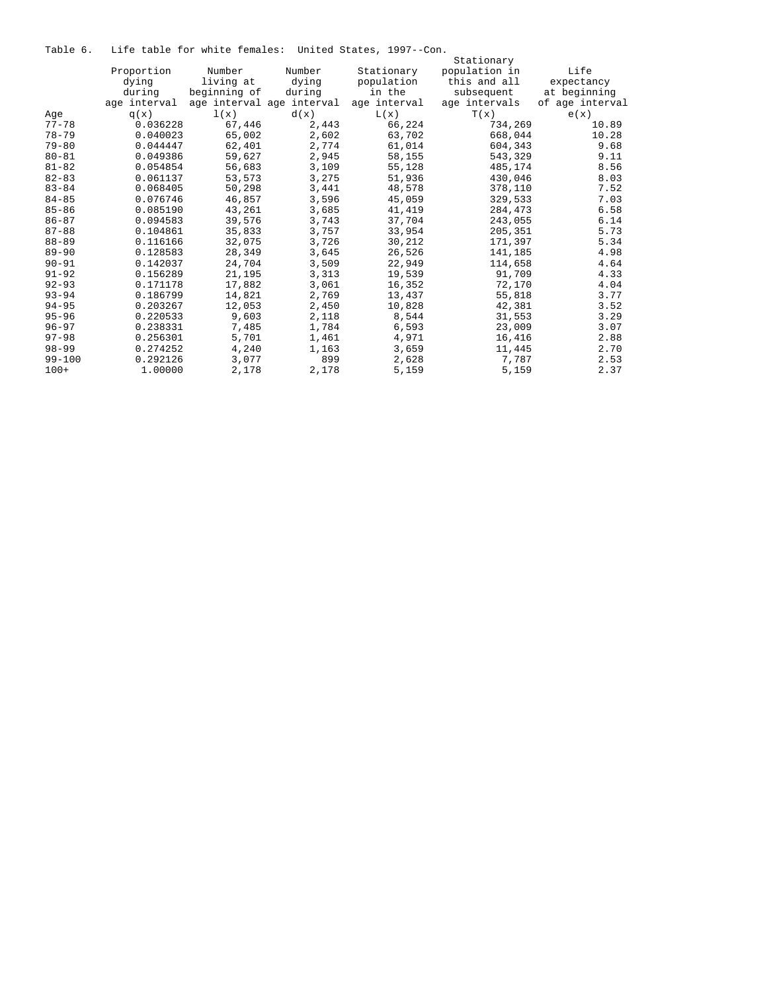Table 6. Life table for white females: United States, 1997--Con.

|            |              |              |                           |              | Stationary    |                 |
|------------|--------------|--------------|---------------------------|--------------|---------------|-----------------|
|            | Proportion   | Number       | Number                    | Stationary   | population in | Life            |
|            | dying        | living at    | dying                     | population   | this and all  | expectancy      |
|            | during       | beginning of | during                    | in the       | subsequent    | at beginning    |
|            | age interval |              | age interval age interval | age interval | age intervals | of age interval |
| Age        | q(x)         | 1(x)         | d(x)                      | L(x)         | T(x)          | e(x)            |
| $77 - 78$  | 0.036228     | 67,446       | 2,443                     | 66,224       | 734,269       | 10.89           |
| $78 - 79$  | 0.040023     | 65,002       | 2,602                     | 63,702       | 668,044       | 10.28           |
| $79 - 80$  | 0.044447     | 62,401       | 2,774                     | 61,014       | 604,343       | 9.68            |
| $80 - 81$  | 0.049386     | 59,627       | 2,945                     | 58,155       | 543,329       | 9.11            |
| $81 - 82$  | 0.054854     | 56,683       | 3,109                     | 55,128       | 485,174       | 8.56            |
| $82 - 83$  | 0.061137     | 53,573       | 3,275                     | 51,936       | 430,046       | 8.03            |
| $83 - 84$  | 0.068405     | 50,298       | 3,441                     | 48,578       | 378,110       | 7.52            |
| $84 - 85$  | 0.076746     | 46,857       | 3,596                     | 45,059       | 329,533       | 7.03            |
| $85 - 86$  | 0.085190     | 43,261       | 3,685                     | 41,419       | 284,473       | 6.58            |
| $86 - 87$  | 0.094583     | 39,576       | 3,743                     | 37,704       | 243,055       | 6.14            |
| $87 - 88$  | 0.104861     | 35,833       | 3,757                     | 33,954       | 205,351       | 5.73            |
| $88 - 89$  | 0.116166     | 32,075       | 3,726                     | 30,212       | 171,397       | 5.34            |
| $89 - 90$  | 0.128583     | 28,349       | 3,645                     | 26,526       | 141,185       | 4.98            |
| $90 - 91$  | 0.142037     | 24,704       | 3,509                     | 22,949       | 114,658       | 4.64            |
| $91 - 92$  | 0.156289     | 21,195       | 3,313                     | 19,539       | 91,709        | 4.33            |
| $92 - 93$  | 0.171178     | 17,882       | 3,061                     | 16,352       | 72,170        | 4.04            |
| $93 - 94$  | 0.186799     | 14,821       | 2,769                     | 13,437       | 55,818        | 3.77            |
| $94 - 95$  | 0.203267     | 12,053       | 2,450                     | 10,828       | 42,381        | 3.52            |
| $95 - 96$  | 0.220533     | 9,603        | 2,118                     | 8,544        | 31,553        | 3.29            |
| $96 - 97$  | 0.238331     | 7,485        | 1,784                     | 6,593        | 23,009        | 3.07            |
| $97 - 98$  | 0.256301     | 5,701        | 1,461                     | 4,971        | 16,416        | 2.88            |
| $98 - 99$  | 0.274252     | 4,240        | 1,163                     | 3,659        | 11,445        | 2.70            |
| $99 - 100$ | 0.292126     | 3,077        | 899                       | 2,628        | 7,787         | 2.53            |
| $100+$     | 1,00000      | 2,178        | 2,178                     | 5,159        | 5,159         | 2.37            |
|            |              |              |                           |              |               |                 |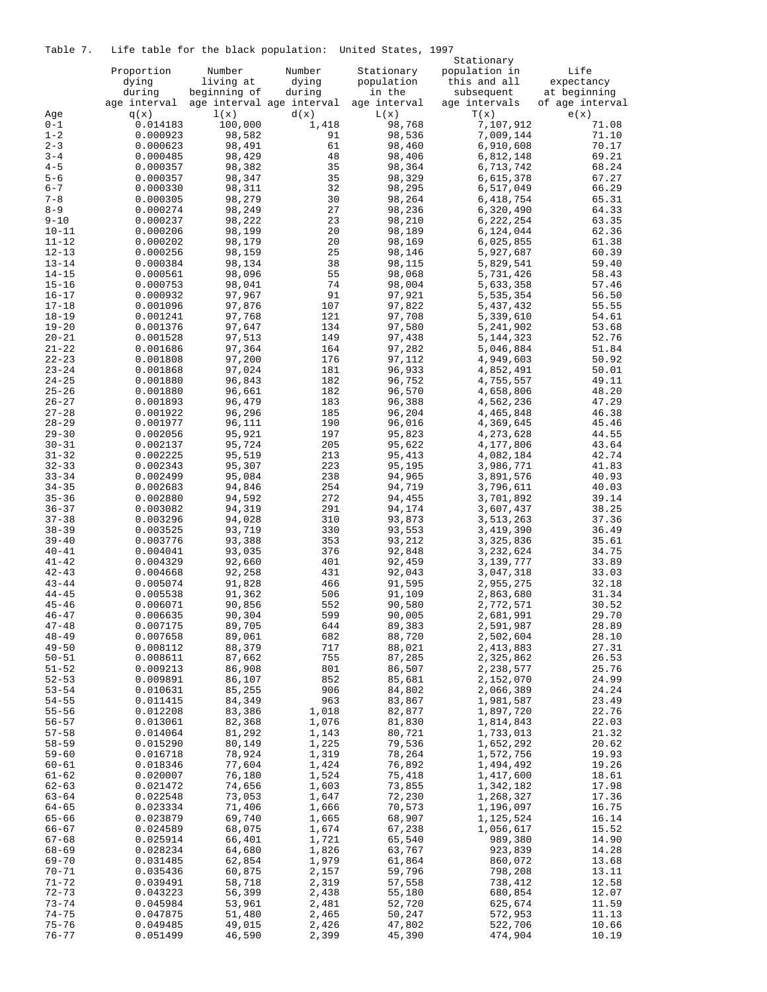Table 7. Life table for the black population: United States, 1997

|                        |                      | capic for the brack popuration. |                | UNILLED DEULLE,  | Stationary             |                 |
|------------------------|----------------------|---------------------------------|----------------|------------------|------------------------|-----------------|
|                        | Proportion           | Number                          | Number         | Stationary       | population in          | Life            |
|                        | dying                | living at                       | dying          | population       | this and all           | expectancy      |
|                        | during               | beginning of                    | during         | in the           | subsequent             | at beginning    |
|                        | age interval         | age interval age interval       |                | age interval     | age intervals          | of age interval |
| Age                    | q(x)                 | 1(x)                            | d(x)           | L(x)             | T(x)                   | e(x)            |
| $0 - 1$<br>$1 - 2$     | 0.014183             | 100,000<br>98,582               | 1,418<br>91    | 98,768<br>98,536 | 7,107,912              | 71.08<br>71.10  |
| $2 - 3$                | 0.000923<br>0.000623 | 98,491                          | 61             | 98,460           | 7,009,144<br>6,910,608 | 70.17           |
| $3 - 4$                | 0.000485             | 98,429                          | 48             | 98,406           | 6,812,148              | 69.21           |
| $4 - 5$                | 0.000357             | 98,382                          | 35             | 98,364           | 6,713,742              | 68.24           |
| $5 - 6$                | 0.000357             | 98,347                          | 35             | 98,329           | 6,615,378              | 67.27           |
| $6 - 7$                | 0.000330             | 98,311                          | 32             | 98,295           | 6,517,049              | 66.29           |
| $7 - 8$                | 0.000305             | 98,279                          | 30             | 98,264           | 6,418,754              | 65.31           |
| $8 - 9$                | 0.000274             | 98,249                          | 27             | 98,236           | 6,320,490              | 64.33           |
| $9 - 10$<br>$10 - 11$  | 0.000237<br>0.000206 | 98,222<br>98,199                | 23<br>20       | 98,210<br>98,189 | 6,222,254<br>6,124,044 | 63.35<br>62.36  |
| $11 - 12$              | 0.000202             | 98,179                          | 20             | 98,169           | 6,025,855              | 61.38           |
| $12 - 13$              | 0.000256             | 98,159                          | 25             | 98,146           | 5,927,687              | 60.39           |
| $13 - 14$              | 0.000384             | 98,134                          | 38             | 98,115           | 5,829,541              | 59.40           |
| $14 - 15$              | 0.000561             | 98,096                          | 55             | 98,068           | 5,731,426              | 58.43           |
| $15 - 16$              | 0.000753             | 98,041                          | 74             | 98,004           | 5,633,358              | 57.46           |
| $16 - 17$              | 0.000932             | 97,967                          | 91             | 97,921           | 5,535,354              | 56.50           |
| $17 - 18$<br>$18 - 19$ | 0.001096<br>0.001241 | 97,876<br>97,768                | 107<br>121     | 97,822<br>97,708 | 5,437,432<br>5,339,610 | 55.55<br>54.61  |
| $19 - 20$              | 0.001376             | 97,647                          | 134            | 97,580           | 5,241,902              | 53.68           |
| $20 - 21$              | 0.001528             | 97,513                          | 149            | 97,438           | 5, 144, 323            | 52.76           |
| $21 - 22$              | 0.001686             | 97,364                          | 164            | 97,282           | 5,046,884              | 51.84           |
| $22 - 23$              | 0.001808             | 97,200                          | 176            | 97,112           | 4,949,603              | 50.92           |
| $23 - 24$              | 0.001868             | 97,024                          | 181            | 96,933           | 4,852,491              | 50.01           |
| $24 - 25$              | 0.001880             | 96,843                          | 182            | 96,752           | 4,755,557              | 49.11           |
| $25 - 26$<br>$26 - 27$ | 0.001880<br>0.001893 | 96,661<br>96,479                | 182<br>183     | 96,570<br>96,388 | 4,658,806<br>4,562,236 | 48.20<br>47.29  |
| $27 - 28$              | 0.001922             | 96,296                          | 185            | 96,204           | 4,465,848              | 46.38           |
| $28 - 29$              | 0.001977             | 96,111                          | 190            | 96,016           | 4,369,645              | 45.46           |
| $29 - 30$              | 0.002056             | 95,921                          | 197            | 95,823           | 4,273,628              | 44.55           |
| $30 - 31$              | 0.002137             | 95,724                          | 205            | 95,622           | 4,177,806              | 43.64           |
| $31 - 32$              | 0.002225             | 95,519                          | 213            | 95,413           | 4,082,184              | 42.74           |
| $32 - 33$<br>$33 - 34$ | 0.002343<br>0.002499 | 95,307<br>95,084                | 223<br>238     | 95,195<br>94,965 | 3,986,771<br>3,891,576 | 41.83<br>40.93  |
| $34 - 35$              | 0.002683             | 94,846                          | 254            | 94,719           | 3,796,611              | 40.03           |
| $35 - 36$              | 0.002880             | 94,592                          | 272            | 94,455           | 3,701,892              | 39.14           |
| $36 - 37$              | 0.003082             | 94,319                          | 291            | 94,174           | 3,607,437              | 38.25           |
| $37 - 38$              | 0.003296             | 94,028                          | 310            | 93,873           | 3,513,263              | 37.36           |
| $38 - 39$<br>$39 - 40$ | 0.003525<br>0.003776 | 93,719<br>93,388                | 330<br>353     | 93,553<br>93,212 | 3,419,390<br>3,325,836 | 36.49<br>35.61  |
| $40 - 41$              | 0.004041             | 93,035                          | 376            | 92,848           | 3,232,624              | 34.75           |
| $41 - 42$              | 0.004329             | 92,660                          | 401            | 92,459           | 3,139,777              | 33.89           |
| $42 - 43$              | 0.004668             | 92,258                          | 431            | 92,043           | 3,047,318              | 33.03           |
| $43 - 44$              | 0.005074             | 91,828                          | 466            | 91,595           | 2,955,275              | 32.18           |
| $44 - 45$              | 0.005538             | 91,362                          | 506            | 91,109           | 2,863,680              | 31.34           |
| $45 - 46$<br>$46 - 47$ | 0.006071<br>0.006635 | 90,856<br>90,304                | 552<br>599     | 90,580<br>90,005 | 2,772,571<br>2,681,991 | 30.52<br>29.70  |
| $47 - 48$              | 0.007175             | 89,705                          | 644            | 89,383           | 2,591,987              | 28.89           |
| $48 - 49$              | 0.007658             | 89,061                          | 682            | 88,720           | 2,502,604              | 28.10           |
| $49 - 50$              | 0.008112             | 88,379                          | 717            | 88,021           | 2,413,883              | 27.31           |
| $50 - 51$              | 0.008611             | 87,662                          | 755            | 87,285           | 2,325,862              | 26.53           |
| $51 - 52$              | 0.009213             | 86,908                          | 801            | 86,507           | 2,238,577              | 25.76           |
| $52 - 53$<br>$53 - 54$ | 0.009891<br>0.010631 | 86,107<br>85,255                | 852<br>906     | 85,681<br>84,802 | 2,152,070<br>2,066,389 | 24.99<br>24.24  |
| $54 - 55$              | 0.011415             | 84,349                          | 963            | 83,867           | 1,981,587              | 23.49           |
| $55 - 56$              | 0.012208             | 83,386                          | 1,018          | 82,877           | 1,897,720              | 22.76           |
| $56 - 57$              | 0.013061             | 82,368                          | 1,076          | 81,830           | 1,814,843              | 22.03           |
| $57 - 58$              | 0.014064             | 81,292                          | 1,143          | 80,721           | 1,733,013              | 21.32           |
| $58 - 59$              | 0.015290             | 80,149                          | 1,225          | 79,536           | 1,652,292              | 20.62           |
| $59 - 60$<br>$60 - 61$ | 0.016718<br>0.018346 | 78,924<br>77,604                | 1,319<br>1,424 | 78,264<br>76,892 | 1,572,756<br>1,494,492 | 19.93<br>19.26  |
| $61 - 62$              | 0.020007             | 76,180                          | 1,524          | 75,418           | 1,417,600              | 18.61           |
| $62 - 63$              | 0.021472             | 74,656                          | 1,603          | 73,855           | 1,342,182              | 17.98           |
| $63 - 64$              | 0.022548             | 73,053                          | 1,647          | 72,230           | 1,268,327              | 17.36           |
| $64 - 65$              | 0.023334             | 71,406                          | 1,666          | 70,573           | 1,196,097              | 16.75           |
| $65 - 66$              | 0.023879             | 69,740                          | 1,665          | 68,907           | 1,125,524              | 16.14           |
| $66 - 67$<br>$67 - 68$ | 0.024589<br>0.025914 | 68,075<br>66,401                | 1,674<br>1,721 | 67,238<br>65,540 | 1,056,617<br>989,380   | 15.52<br>14.90  |
| $68 - 69$              | 0.028234             | 64,680                          | 1,826          | 63,767           | 923,839                | 14.28           |
| $69 - 70$              | 0.031485             | 62,854                          | 1,979          | 61,864           | 860,072                | 13.68           |
| $70 - 71$              | 0.035436             | 60,875                          | 2,157          | 59,796           | 798,208                | 13.11           |
| $71 - 72$              | 0.039491             | 58,718                          | 2,319          | 57,558           | 738,412                | 12.58           |
| $72 - 73$              | 0.043223             | 56,399                          | 2,438          | 55,180           | 680,854                | 12.07           |
| $73 - 74$<br>$74 - 75$ | 0.045984<br>0.047875 | 53,961<br>51,480                | 2,481<br>2,465 | 52,720<br>50,247 | 625,674<br>572,953     | 11.59<br>11.13  |
| $75 - 76$              | 0.049485             | 49,015                          | 2,426          | 47,802           | 522,706                | 10.66           |
| $76 - 77$              | 0.051499             | 46,590                          | 2,399          | 45,390           | 474,904                | 10.19           |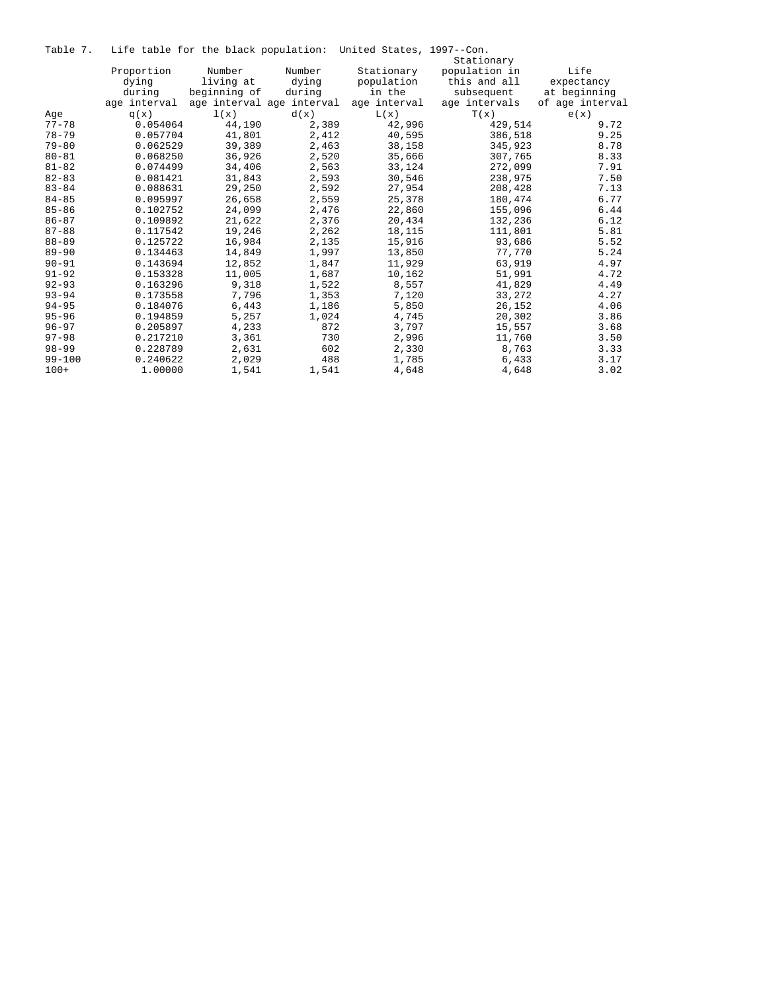|  |  |  |  | Table 7. Life table for the black population: United States, 1997--Con. |  |  |
|--|--|--|--|-------------------------------------------------------------------------|--|--|
|--|--|--|--|-------------------------------------------------------------------------|--|--|

|            |              | bile capie for che prachi poparacioni |                           |              |               |                 |
|------------|--------------|---------------------------------------|---------------------------|--------------|---------------|-----------------|
|            |              |                                       |                           |              | Stationary    |                 |
|            | Proportion   | Number                                | Number                    | Stationary   | population in | Life            |
|            | dying        | living at                             | dying                     | population   | this and all  | expectancy      |
|            | during       | beginning of                          | during                    | in the       | subsequent    | at beginning    |
|            | age interval |                                       | age interval age interval | age interval | age intervals | of age interval |
| Aqe        | q(x)         | 1(x)                                  | d(x)                      | L(x)         | T(x)          | e(x)            |
| $77 - 78$  | 0.054064     | 44,190                                | 2,389                     | 42,996       | 429,514       | 9.72            |
| $78 - 79$  | 0.057704     | 41,801                                | 2,412                     | 40,595       | 386,518       | 9.25            |
| $79 - 80$  | 0.062529     | 39,389                                | 2,463                     | 38,158       | 345,923       | 8.78            |
| $80 - 81$  | 0.068250     | 36,926                                | 2,520                     | 35,666       | 307,765       | 8.33            |
| $81 - 82$  | 0.074499     | 34,406                                | 2,563                     | 33,124       | 272,099       | 7.91            |
| $82 - 83$  | 0.081421     | 31,843                                | 2,593                     | 30,546       | 238,975       | 7.50            |
| $83 - 84$  | 0.088631     | 29,250                                | 2,592                     | 27,954       | 208,428       | 7.13            |
| $84 - 85$  | 0.095997     | 26,658                                | 2,559                     | 25,378       | 180,474       | 6.77            |
| $85 - 86$  | 0.102752     | 24,099                                | 2,476                     | 22,860       | 155,096       | 6.44            |
| $86 - 87$  | 0.109892     | 21,622                                | 2,376                     | 20,434       | 132,236       | 6.12            |
| $87 - 88$  | 0.117542     | 19,246                                | 2,262                     | 18,115       | 111,801       | 5.81            |
| $88 - 89$  | 0.125722     | 16,984                                | 2,135                     | 15,916       | 93,686        | 5.52            |
| $89 - 90$  | 0.134463     | 14,849                                | 1,997                     | 13,850       | 77.770        | 5.24            |
| $90 - 91$  | 0.143694     | 12,852                                | 1,847                     | 11,929       | 63,919        | 4.97            |
| $91 - 92$  | 0.153328     | 11,005                                | 1,687                     | 10,162       | 51,991        | 4.72            |
| $92 - 93$  | 0.163296     | 9,318                                 | 1,522                     | 8,557        | 41,829        | 4.49            |
| $93 - 94$  | 0.173558     | 7,796                                 | 1,353                     | 7,120        | 33,272        | 4.27            |
| $94 - 95$  | 0.184076     | 6,443                                 | 1,186                     | 5,850        | 26,152        | 4.06            |
| $95 - 96$  | 0.194859     | 5,257                                 | 1,024                     | 4,745        | 20,302        | 3.86            |
| $96 - 97$  | 0.205897     | 4,233                                 | 872                       | 3,797        | 15,557        | 3.68            |
| $97 - 98$  | 0.217210     | 3,361                                 | 730                       | 2,996        | 11,760        | 3.50            |
| $98 - 99$  | 0.228789     | 2,631                                 | 602                       | 2,330        | 8,763         | 3.33            |
| $99 - 100$ | 0.240622     | 2,029                                 | 488                       | 1,785        | 6,433         | 3.17            |
| $100+$     | 1.00000      | 1,541                                 | 1,541                     | 4,648        | 4,648         | 3.02            |
|            |              |                                       |                           |              |               |                 |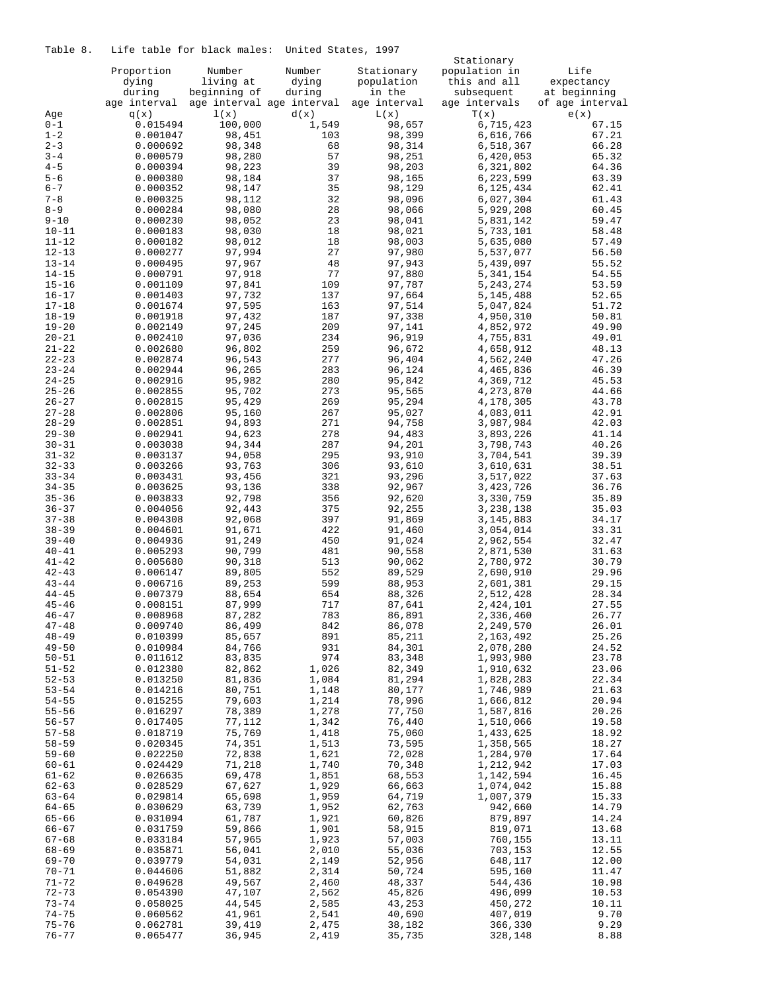Table 8. Life table for black males: United States, 1997

|           |              |                           |        |              | Stationary    |                 |
|-----------|--------------|---------------------------|--------|--------------|---------------|-----------------|
|           | Proportion   | Number                    | Number | Stationary   | population in | Life            |
|           | dying        | living at                 | dying  | population   | this and all  | expectancy      |
|           | during       | beginning of              | during | in the       | subsequent    | at beginning    |
|           | age interval | age interval age interval |        | age interval | age intervals | of age interval |
|           |              |                           |        |              |               |                 |
| Age       | q(x)         | 1(x)                      | d(x)   | L(x)         | T(x)          | e(x)            |
| $0 - 1$   | 0.015494     | 100,000                   | 1,549  | 98,657       | 6,715,423     | 67.15           |
| $1 - 2$   | 0.001047     | 98,451                    | 103    | 98,399       | 6,616,766     | 67.21           |
| $2 - 3$   | 0.000692     | 98,348                    | 68     | 98,314       | 6,518,367     | 66.28           |
| $3 - 4$   | 0.000579     | 98,280                    | 57     | 98,251       | 6,420,053     | 65.32           |
| $4 - 5$   | 0.000394     | 98,223                    | 39     | 98,203       | 6,321,802     | 64.36           |
| $5 - 6$   | 0.000380     | 98,184                    | 37     | 98,165       | 6,223,599     | 63.39           |
|           |              |                           |        |              |               |                 |
| $6 - 7$   | 0.000352     | 98,147                    | 35     | 98,129       | 6,125,434     | 62.41           |
| $7 - 8$   | 0.000325     | 98,112                    | 32     | 98,096       | 6,027,304     | 61.43           |
| $8 - 9$   | 0.000284     | 98,080                    | 28     | 98,066       | 5,929,208     | 60.45           |
| $9 - 10$  | 0.000230     | 98,052                    | 23     | 98,041       | 5,831,142     | 59.47           |
| $10 - 11$ | 0.000183     | 98,030                    | 18     | 98,021       | 5,733,101     | 58.48           |
| $11 - 12$ | 0.000182     | 98,012                    | 18     | 98,003       | 5,635,080     | 57.49           |
|           |              | 97,994                    | 27     | 97,980       |               |                 |
| $12 - 13$ | 0.000277     |                           |        |              | 5,537,077     | 56.50           |
| $13 - 14$ | 0.000495     | 97,967                    | 48     | 97,943       | 5,439,097     | 55.52           |
| $14 - 15$ | 0.000791     | 97,918                    | 77     | 97,880       | 5,341,154     | 54.55           |
| $15 - 16$ | 0.001109     | 97,841                    | 109    | 97,787       | 5, 243, 274   | 53.59           |
| $16 - 17$ | 0.001403     | 97,732                    | 137    | 97,664       | 5,145,488     | 52.65           |
| $17 - 18$ | 0.001674     | 97,595                    | 163    | 97,514       | 5,047,824     | 51.72           |
| $18 - 19$ | 0.001918     | 97,432                    | 187    | 97,338       | 4,950,310     | 50.81           |
|           |              |                           |        |              |               |                 |
| $19 - 20$ | 0.002149     | 97,245                    | 209    | 97,141       | 4,852,972     | 49.90           |
| $20 - 21$ | 0.002410     | 97,036                    | 234    | 96,919       | 4,755,831     | 49.01           |
| $21 - 22$ | 0.002680     | 96,802                    | 259    | 96,672       | 4,658,912     | 48.13           |
| $22 - 23$ | 0.002874     | 96,543                    | 277    | 96,404       | 4,562,240     | 47.26           |
| $23 - 24$ | 0.002944     | 96,265                    | 283    | 96,124       | 4,465,836     | 46.39           |
| $24 - 25$ | 0.002916     | 95,982                    | 280    | 95,842       | 4,369,712     | 45.53           |
| $25 - 26$ | 0.002855     | 95,702                    | 273    | 95,565       | 4,273,870     | 44.66           |
|           |              |                           |        |              |               |                 |
| $26 - 27$ | 0.002815     | 95,429                    | 269    | 95,294       | 4,178,305     | 43.78           |
| $27 - 28$ | 0.002806     | 95,160                    | 267    | 95,027       | 4,083,011     | 42.91           |
| $28 - 29$ | 0.002851     | 94,893                    | 271    | 94,758       | 3,987,984     | 42.03           |
| $29 - 30$ | 0.002941     | 94,623                    | 278    | 94,483       | 3,893,226     | 41.14           |
| $30 - 31$ | 0.003038     | 94,344                    | 287    | 94,201       | 3,798,743     | 40.26           |
| $31 - 32$ | 0.003137     | 94,058                    | 295    | 93,910       | 3,704,541     | 39.39           |
| $32 - 33$ | 0.003266     | 93,763                    | 306    | 93,610       | 3,610,631     | 38.51           |
|           |              |                           |        |              |               |                 |
| $33 - 34$ | 0.003431     | 93,456                    | 321    | 93,296       | 3,517,022     | 37.63           |
| $34 - 35$ | 0.003625     | 93,136                    | 338    | 92,967       | 3,423,726     | 36.76           |
| $35 - 36$ | 0.003833     | 92,798                    | 356    | 92,620       | 3,330,759     | 35.89           |
| $36 - 37$ | 0.004056     | 92,443                    | 375    | 92,255       | 3,238,138     | 35.03           |
| $37 - 38$ | 0.004308     | 92,068                    | 397    | 91,869       | 3, 145, 883   | 34.17           |
| $38 - 39$ | 0.004601     | 91,671                    | 422    | 91,460       | 3,054,014     | 33.31           |
| $39 - 40$ | 0.004936     | 91,249                    | 450    | 91,024       | 2,962,554     | 32.47           |
|           |              |                           |        |              |               |                 |
| $40 - 41$ | 0.005293     | 90,799                    | 481    | 90,558       | 2,871,530     | 31.63           |
| $41 - 42$ | 0.005680     | 90,318                    | 513    | 90,062       | 2,780,972     | 30.79           |
| $42 - 43$ | 0.006147     | 89,805                    | 552    | 89,529       | 2,690,910     | 29.96           |
| $43 - 44$ | 0.006716     | 89,253                    | 599    | 88,953       | 2,601,381     | 29.15           |
| $44 - 45$ | 0.007379     | 88,654                    | 654    | 88,326       | 2,512,428     | 28.34           |
| $45 - 46$ | 0.008151     | 87,999                    | 717    | 87,641       | 2,424,101     | 27.55           |
| $46 - 47$ | 0.008968     | 87,282                    | 783    | 86,891       | 2,336,460     | 26.77           |
| $47 - 48$ | 0.009740     | 86,499                    | 842    | 86,078       | 2,249,570     | 26.01           |
|           |              |                           |        |              |               |                 |
| $48 - 49$ | 0.010399     | 85,657                    | 891    | 85,211       | 2,163,492     | 25.26           |
| $49 - 50$ | 0.010984     | 84,766                    | 931    | 84,301       | 2,078,280     | 24.52           |
| $50 - 51$ | 0.011612     | 83,835                    | 974    | 83,348       | 1,993,980     | 23.78           |
| $51 - 52$ | 0.012380     | 82,862                    | 1,026  | 82,349       | 1,910,632     | 23.06           |
| $52 - 53$ | 0.013250     | 81,836                    | 1,084  | 81,294       | 1,828,283     | 22.34           |
| $53 - 54$ | 0.014216     | 80,751                    | 1,148  | 80,177       | 1,746,989     | 21.63           |
| $54 - 55$ | 0.015255     | 79,603                    | 1,214  | 78,996       | 1,666,812     | 20.94           |
| $55 - 56$ | 0.016297     | 78,389                    | 1,278  | 77,750       | 1,587,816     | 20.26           |
|           |              |                           |        |              |               |                 |
| $56 - 57$ | 0.017405     | 77,112                    | 1,342  | 76,440       | 1,510,066     | 19.58           |
| $57 - 58$ | 0.018719     | 75,769                    | 1,418  | 75,060       | 1,433,625     | 18.92           |
| $58 - 59$ | 0.020345     | 74,351                    | 1,513  | 73,595       | 1,358,565     | 18.27           |
| $59 - 60$ | 0.022250     | 72,838                    | 1,621  | 72,028       | 1,284,970     | 17.64           |
| 60-61     | 0.024429     | 71,218                    | 1,740  | 70,348       | 1,212,942     | 17.03           |
| $61 - 62$ | 0.026635     | 69,478                    | 1,851  | 68,553       | 1,142,594     | 16.45           |
| $62 - 63$ | 0.028529     | 67,627                    | 1,929  | 66,663       | 1,074,042     | 15.88           |
|           |              |                           |        |              |               |                 |
| $63 - 64$ | 0.029814     | 65,698                    | 1,959  | 64,719       | 1,007,379     | 15.33           |
| 64-65     | 0.030629     | 63,739                    | 1,952  | 62,763       | 942,660       | 14.79           |
| 65-66     | 0.031094     | 61,787                    | 1,921  | 60,826       | 879,897       | 14.24           |
| 66-67     | 0.031759     | 59,866                    | 1,901  | 58,915       | 819,071       | 13.68           |
| 67-68     | 0.033184     | 57,965                    | 1,923  | 57,003       | 760,155       | 13.11           |
| 68-69     | 0.035871     | 56,041                    | 2,010  | 55,036       | 703,153       | 12.55           |
| 69-70     | 0.039779     | 54,031                    | 2,149  | 52,956       | 648,117       | 12.00           |
| $70 - 71$ | 0.044606     | 51,882                    | 2,314  | 50,724       | 595,160       | 11.47           |
|           |              |                           |        |              |               |                 |
| $71 - 72$ | 0.049628     | 49,567                    | 2,460  | 48,337       | 544,436       | 10.98           |
| $72 - 73$ | 0.054390     | 47,107                    | 2,562  | 45,826       | 496,099       | 10.53           |
| $73 - 74$ | 0.058025     | 44,545                    | 2,585  | 43,253       | 450,272       | 10.11           |
| $74 - 75$ | 0.060562     | 41,961                    | 2,541  | 40,690       | 407,019       | 9.70            |
| $75 - 76$ | 0.062781     | 39,419                    | 2,475  | 38,182       | 366,330       | 9.29            |
| $76 - 77$ | 0.065477     | 36,945                    | 2,419  | 35,735       | 328,148       | 8.88            |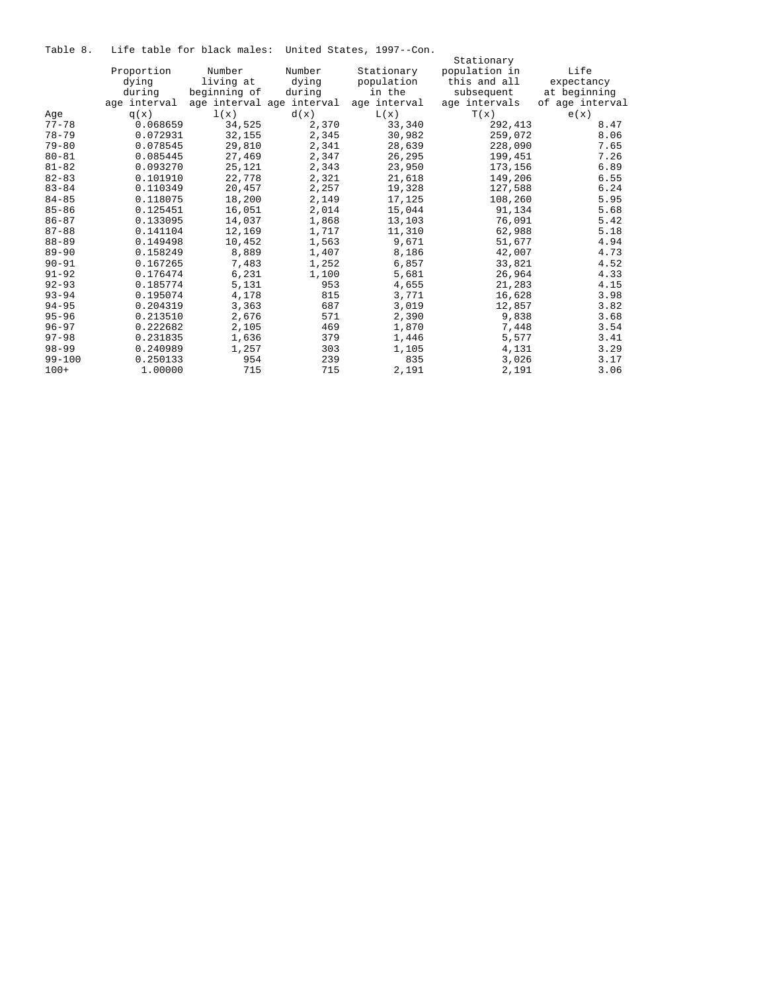Table 8. Life table for black males: United States, 1997--Con.

|            |              |              |                           |              | Stationary    |                 |
|------------|--------------|--------------|---------------------------|--------------|---------------|-----------------|
|            | Proportion   | Number       | Number                    | Stationary   | population in | Life            |
|            | dying        | living at    | dying                     | population   | this and all  | expectancy      |
|            | during       | beginning of | during                    | in the       | subsequent    | at beginning    |
|            | age interval |              | age interval age interval | age interval | age intervals | of age interval |
| Age        | q(x)         | 1(x)         | d(x)                      | L(x)         | T(x)          | e(x)            |
| $77 - 78$  | 0.068659     | 34,525       | 2,370                     | 33,340       | 292,413       | 8.47            |
| $78 - 79$  | 0.072931     | 32,155       | 2,345                     | 30,982       | 259,072       | 8.06            |
| $79 - 80$  | 0.078545     | 29,810       | 2,341                     | 28,639       | 228,090       | 7.65            |
| $80 - 81$  | 0.085445     | 27,469       | 2,347                     | 26,295       | 199,451       | 7.26            |
| $81 - 82$  | 0.093270     | 25,121       | 2,343                     | 23,950       | 173,156       | 6.89            |
| $82 - 83$  | 0.101910     | 22,778       | 2,321                     | 21,618       | 149,206       | 6.55            |
| $83 - 84$  | 0.110349     | 20,457       | 2,257                     | 19,328       | 127,588       | 6.24            |
| $84 - 85$  | 0.118075     | 18,200       | 2,149                     | 17,125       | 108,260       | 5.95            |
| $85 - 86$  | 0.125451     | 16,051       | 2,014                     | 15,044       | 91,134        | 5.68            |
| $86 - 87$  | 0.133095     | 14,037       | 1,868                     | 13,103       | 76,091        | 5.42            |
| $87 - 88$  | 0.141104     | 12,169       | 1,717                     | 11,310       | 62,988        | 5.18            |
| $88 - 89$  | 0.149498     | 10,452       | 1,563                     | 9,671        | 51,677        | 4.94            |
| $89 - 90$  | 0.158249     | 8,889        | 1,407                     | 8,186        | 42,007        | 4.73            |
| $90 - 91$  | 0.167265     | 7,483        | 1,252                     | 6,857        | 33,821        | 4.52            |
| $91 - 92$  | 0.176474     | 6,231        | 1,100                     | 5,681        | 26,964        | 4.33            |
| $92 - 93$  | 0.185774     | 5,131        | 953                       | 4,655        | 21,283        | 4.15            |
| $93 - 94$  | 0.195074     | 4,178        | 815                       | 3,771        | 16,628        | 3.98            |
| $94 - 95$  | 0.204319     | 3,363        | 687                       | 3,019        | 12,857        | 3.82            |
| $95 - 96$  | 0.213510     | 2,676        | 571                       | 2,390        | 9,838         | 3.68            |
| $96 - 97$  | 0.222682     | 2,105        | 469                       | 1,870        | 7,448         | 3.54            |
| $97 - 98$  | 0.231835     | 1,636        | 379                       | 1,446        | 5,577         | 3.41            |
| $98 - 99$  | 0.240989     | 1,257        | 303                       | 1,105        | 4,131         | 3.29            |
| $99 - 100$ | 0.250133     | 954          | 239                       | 835          | 3,026         | 3.17            |
| $100+$     | 1,00000      | 715          | 715                       | 2,191        | 2,191         | 3.06            |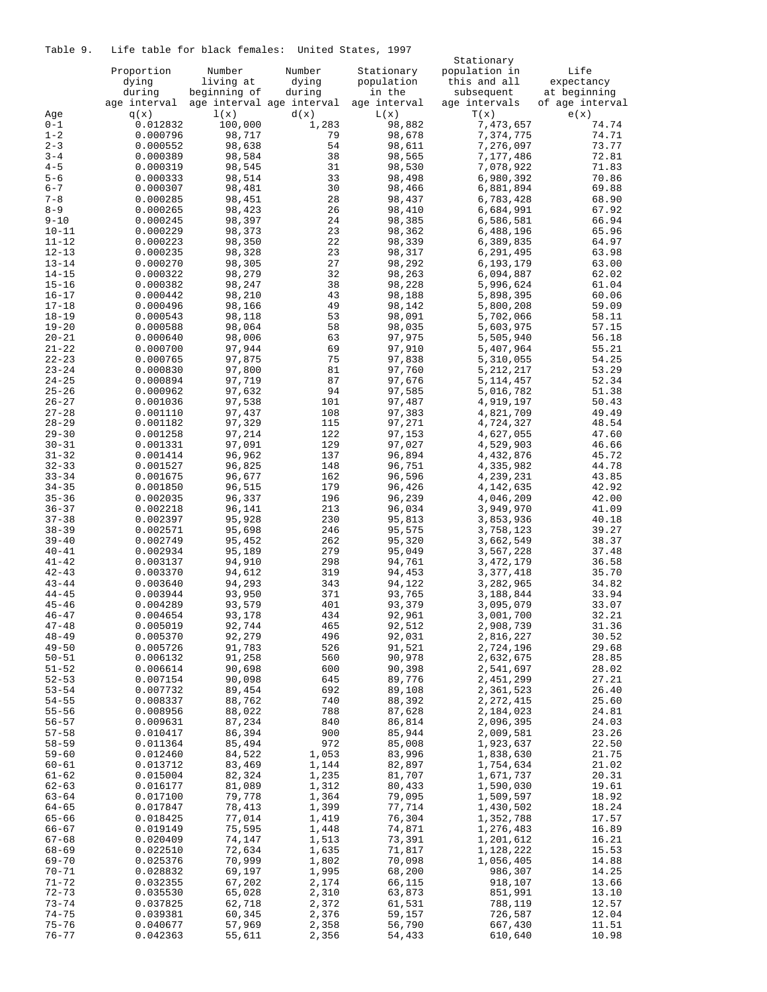Table 9. Life table for black females: United States, 1997

|                        |                      |                  |                           |                  | Stationary             |                 |
|------------------------|----------------------|------------------|---------------------------|------------------|------------------------|-----------------|
|                        | Proportion           | Number           | Number                    | Stationary       | population in          | Life            |
|                        | dying                | living at        | dying                     | population       | this and all           | expectancy      |
|                        | during               | beginning of     | during                    | in the           | subsequent             | at beginning    |
|                        | age interval         |                  | age interval age interval | age interval     | age intervals          | of age interval |
| Age                    | q(x)                 | 1(x)             | d(x)                      | L(x)             | T(x)                   | e(x)            |
| $0 - 1$                | 0.012832             | 100,000          | 1,283                     | 98,882           | 7,473,657              | 74.74           |
| $1 - 2$                | 0.000796             | 98,717           | 79                        | 98,678           | 7,374,775              | 74.71           |
| $2 - 3$                | 0.000552             | 98,638           | 54                        | 98,611           | 7,276,097              | 73.77           |
| $3 - 4$                | 0.000389             | 98,584           | 38                        | 98,565           | 7,177,486              | 72.81           |
| $4 - 5$                | 0.000319             | 98,545           | 31                        | 98,530           | 7,078,922              | 71.83           |
| $5 - 6$                | 0.000333             | 98,514           | 33                        | 98,498           | 6,980,392              | 70.86           |
| $6 - 7$                | 0.000307             | 98,481           | 30                        | 98,466           | 6,881,894              | 69.88           |
| $7 - 8$                | 0.000285             | 98,451           | 28                        | 98,437           | 6,783,428              | 68.90           |
| $8 - 9$                | 0.000265             | 98,423           | 26                        | 98,410           | 6,684,991              | 67.92           |
| $9 - 10$               | 0.000245             | 98,397           | 24                        | 98,385           | 6,586,581              | 66.94           |
| $10 - 11$              | 0.000229             | 98,373           | 23                        | 98,362           | 6,488,196              | 65.96           |
| $11 - 12$              | 0.000223             | 98,350           | 22                        | 98,339           | 6,389,835              | 64.97           |
| $12 - 13$              | 0.000235             | 98,328           | 23                        | 98,317           | 6,291,495              | 63.98           |
| $13 - 14$              | 0.000270             | 98,305           | 27                        | 98,292           | 6,193,179              | 63.00           |
| $14 - 15$              | 0.000322             | 98,279           | 32                        | 98,263           | 6,094,887              | 62.02           |
| $15 - 16$              | 0.000382             | 98,247           | 38                        | 98,228           | 5,996,624              | 61.04           |
| $16 - 17$              | 0.000442             | 98,210           | 43                        | 98,188           | 5,898,395              | 60.06           |
| $17 - 18$              | 0.000496             | 98,166           | 49                        | 98,142           | 5,800,208              | 59.09           |
| $18 - 19$              | 0.000543             | 98,118           | 53                        | 98,091           | 5,702,066              | 58.11           |
| $19 - 20$              | 0.000588             | 98,064           | 58                        | 98,035           | 5,603,975              | 57.15           |
| $20 - 21$              | 0.000640             | 98,006           | 63                        | 97,975           | 5,505,940              | 56.18           |
| $21 - 22$              | 0.000700             | 97,944           | 69                        | 97,910           | 5,407,964              | 55.21           |
| $22 - 23$              | 0.000765             | 97,875           | 75                        | 97,838           | 5,310,055              | 54.25           |
| $23 - 24$              | 0.000830             | 97,800           | 81                        | 97,760           | 5, 212, 217            | 53.29           |
| $24 - 25$              | 0.000894             | 97,719           | 87                        | 97,676           | 5, 114, 457            | 52.34           |
| $25 - 26$              | 0.000962             | 97,632           | 94                        | 97,585           | 5,016,782              | 51.38           |
| $26 - 27$              | 0.001036             | 97,538           | 101                       | 97,487           | 4,919,197              | 50.43           |
| $27 - 28$              | 0.001110             | 97,437           | 108                       | 97,383           | 4,821,709              | 49.49           |
| $28 - 29$              | 0.001182             | 97,329           | 115                       | 97,271           | 4,724,327              | 48.54           |
| $29 - 30$              | 0.001258             | 97,214           | 122                       | 97,153           | 4,627,055              | 47.60           |
| $30 - 31$              | 0.001331             | 97,091           | 129                       | 97,027           | 4,529,903              | 46.66           |
| $31 - 32$              | 0.001414             | 96,962           | 137                       | 96,894           | 4,432,876              | 45.72           |
| $32 - 33$              | 0.001527             | 96,825           | 148                       | 96,751           | 4,335,982              | 44.78           |
| $33 - 34$              | 0.001675             | 96,677           | 162                       | 96,596           | 4,239,231              | 43.85           |
| $34 - 35$              | 0.001850             | 96,515           | 179                       | 96,426           | 4,142,635              | 42.92           |
| $35 - 36$              | 0.002035             | 96,337           | 196                       | 96,239           | 4,046,209              | 42.00           |
| $36 - 37$              | 0.002218             | 96,141           | 213                       | 96,034           | 3,949,970              | 41.09           |
| $37 - 38$              | 0.002397             | 95,928<br>95,698 | 230<br>246                | 95,813<br>95,575 | 3,853,936              | 40.18           |
| $38 - 39$<br>$39 - 40$ | 0.002571<br>0.002749 | 95,452           | 262                       | 95,320           | 3,758,123<br>3,662,549 | 39.27<br>38.37  |
| $40 - 41$              | 0.002934             | 95,189           | 279                       | 95,049           | 3,567,228              | 37.48           |
| $41 - 42$              | 0.003137             | 94,910           | 298                       | 94,761           | 3, 472, 179            | 36.58           |
| $42 - 43$              | 0.003370             | 94,612           | 319                       | 94,453           | 3,377,418              | 35.70           |
| $43 - 44$              | 0.003640             | 94,293           | 343                       | 94,122           | 3,282,965              | 34.82           |
| $44 - 45$              | 0.003944             | 93,950           | 371                       | 93,765           | 3,188,844              | 33.94           |
| $45 - 46$              | 0.004289             | 93,579           | 401                       | 93,379           | 3,095,079              | 33.07           |
| $46 - 47$              | 0.004654             | 93,178           | 434                       | 92,961           | 3,001,700              | 32.21           |
| $47 - 48$              | 0.005019             | 92,744           | 465                       | 92,512           | 2,908,739              | 31.36           |
| $48 - 49$              | 0.005370             | 92,279           | 496                       | 92,031           | 2,816,227              | 30.52           |
| $49 - 50$              | 0.005726             | 91,783           | 526                       | 91,521           | 2,724,196              | 29.68           |
| $50 - 51$              | 0.006132             | 91,258           | 560                       | 90,978           | 2,632,675              | 28.85           |
| $51 - 52$              | 0.006614             | 90,698           | 600                       | 90,398           | 2,541,697              | 28.02           |
| $52 - 53$              | 0.007154             | 90,098           | 645                       | 89,776           | 2,451,299              | 27.21           |
| $53 - 54$              | 0.007732             | 89,454           | 692                       | 89,108           | 2,361,523              | 26.40           |
| $54 - 55$              | 0.008337             | 88,762           | 740                       | 88,392           | 2, 272, 415            | 25.60           |
| $55 - 56$              | 0.008956             | 88,022           | 788                       | 87,628           | 2,184,023              | 24.81           |
| $56 - 57$              | 0.009631             | 87,234           | 840                       | 86,814           | 2,096,395              | 24.03           |
| $57 - 58$              | 0.010417             | 86,394           | 900                       | 85,944           | 2,009,581              | 23.26           |
| $58 - 59$              | 0.011364             | 85,494           | 972                       | 85,008           | 1,923,637              | 22.50           |
| $59 - 60$              | 0.012460             | 84,522           | 1,053                     | 83,996           | 1,838,630              | 21.75           |
| $60 - 61$              | 0.013712             | 83,469           | 1,144                     | 82,897           | 1,754,634              | 21.02           |
| $61 - 62$              | 0.015004             | 82,324           | 1,235                     | 81,707           | 1,671,737              | 20.31           |
| $62 - 63$              | 0.016177             | 81,089           | 1,312                     | 80,433           | 1,590,030              | 19.61           |
| $63 - 64$              | 0.017100             | 79,778           | 1,364                     | 79,095           | 1,509,597              | 18.92           |
| 64-65                  | 0.017847             | 78,413           | 1,399                     | 77,714           | 1,430,502              | 18.24           |
| $65 - 66$              | 0.018425             | 77,014           | 1,419                     | 76,304           | 1,352,788              | 17.57           |
| $66 - 67$              | 0.019149             | 75,595           | 1,448                     | 74,871           | 1,276,483              | 16.89           |
| $67 - 68$              | 0.020409             | 74,147           | 1,513                     | 73,391           | 1,201,612              | 16.21           |
| $68 - 69$              | 0.022510             | 72,634           | 1,635                     | 71,817           | 1,128,222              | 15.53           |
| $69 - 70$              | 0.025376             | 70,999           | 1,802                     | 70,098           | 1,056,405              | 14.88           |
| 70-71                  | 0.028832             | 69,197           | 1,995                     | 68,200           | 986,307                | 14.25           |
| $71 - 72$              | 0.032355             | 67,202           | 2,174                     | 66,115           | 918,107                | 13.66           |
| $72 - 73$              | 0.035530             | 65,028           | 2,310                     | 63,873           | 851,991                | 13.10           |
| $73 - 74$              | 0.037825             | 62,718           | 2,372                     | 61,531           | 788,119                | 12.57           |
| $74 - 75$              | 0.039381             | 60,345           | 2,376                     | 59,157           | 726,587                | 12.04           |
| $75 - 76$              | 0.040677             | 57,969           | 2,358                     | 56,790           | 667,430                | 11.51           |
| $76 - 77$              | 0.042363             | 55,611           | 2,356                     | 54,433           | 610,640                | 10.98           |